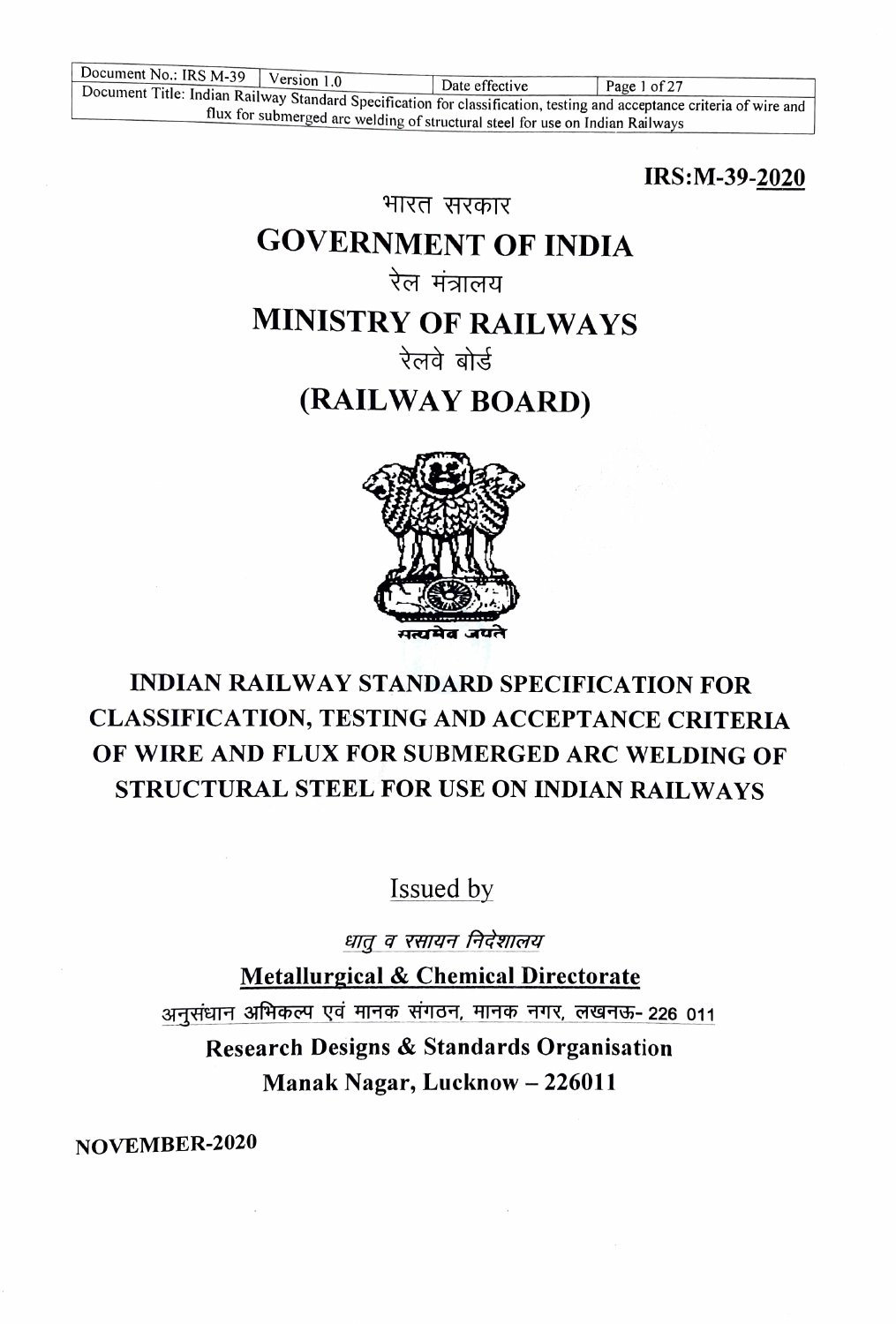IRS:M-39-2020

# GOVERNMENT OF INDIA

भारत सरकार

# रेल मंत्रालय

# MINISTRY OF RAILWAYS

रेलवे बोर्ड

# (RAILWAY BOARD)



# INDIAN RAILWAY STANDARD SPECIFICATION FOR CLASSIFICATION, TESTING AND ACEPTANCE CRITERIA OF WIRE AND FLUX FOR SUBMERGED ARC WELDING OF STRUCTURAL STEEL FOR USE ON INDIAN RAILWAYS

# Issued by

धातू व रसायन निर्देशालय

Metallurgical & Chemical Directorate

अनसंधान अभिकल्प एवं मानक संगठन, मानक नगर, लखनऊ- 226 011

Research Designs & Standards Organisation Manak Nagar, Lucknow - 226011

NOVEMBER-2020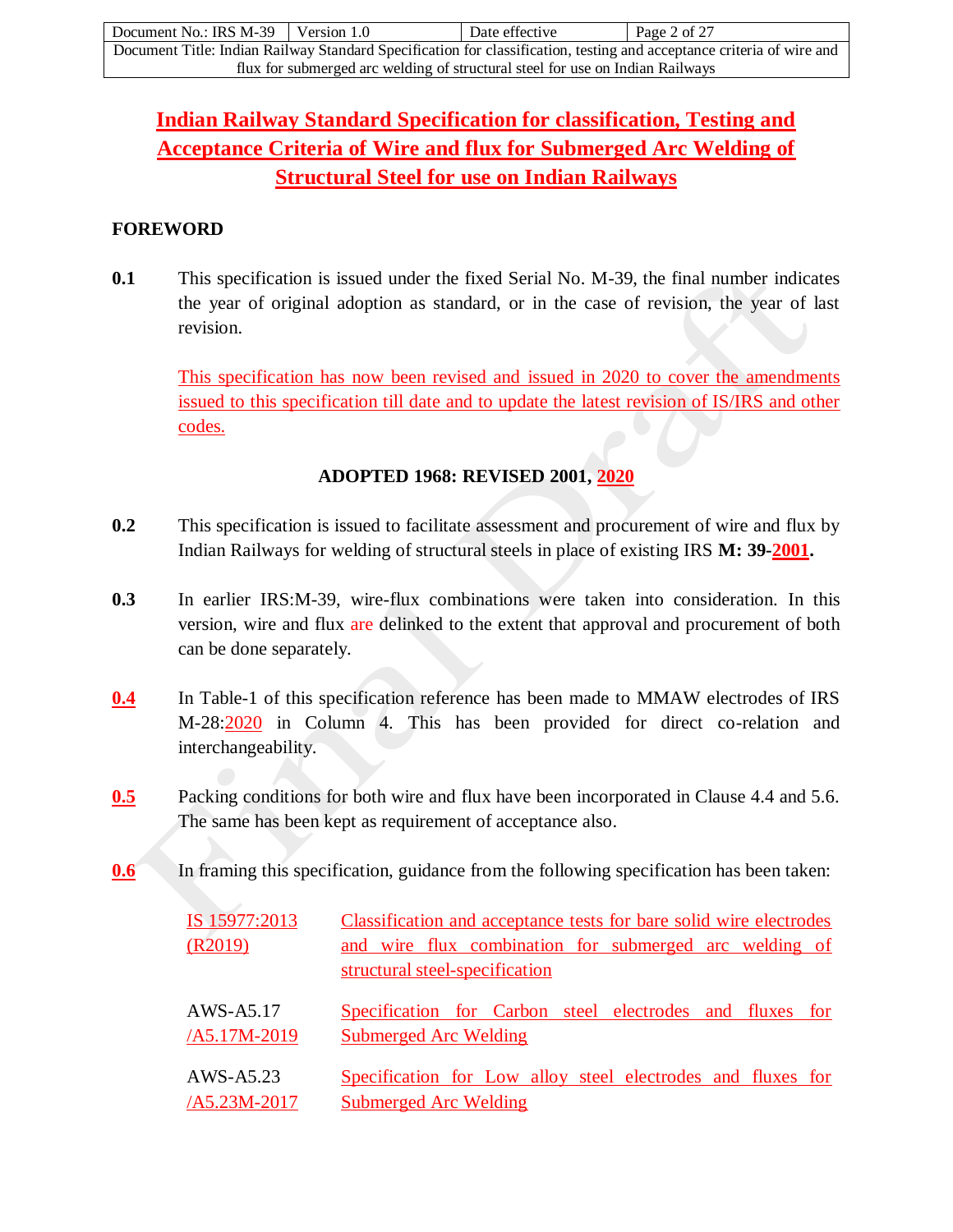| Document No.: IRS $M-39$ Version 1.0                                                                                  |  | Date effective | Page 2 of 27 |  |  |
|-----------------------------------------------------------------------------------------------------------------------|--|----------------|--------------|--|--|
| Document Title: Indian Railway Standard Specification for classification, testing and acceptance criteria of wire and |  |                |              |  |  |
| flux for submerged arc welding of structural steel for use on Indian Railways                                         |  |                |              |  |  |

## **Indian Railway Standard Specification for classification, Testing and Acceptance Criteria of Wire and flux for Submerged Arc Welding of Structural Steel for use on Indian Railways**

## **FOREWORD**

**0.1** This specification is issued under the fixed Serial No. M-39, the final number indicates the year of original adoption as standard, or in the case of revision, the year of last revision.

This specification has now been revised and issued in 2020 to cover the amendments issued to this specification till date and to update the latest revision of IS/IRS and other codes.

## **ADOPTED 1968: REVISED 2001, 2020**

- **0.2** This specification is issued to facilitate assessment and procurement of wire and flux by Indian Railways for welding of structural steels in place of existing IRS **M: 39-2001.**
- **0.3** In earlier IRS:M-39, wire-flux combinations were taken into consideration. In this version, wire and flux are delinked to the extent that approval and procurement of both can be done separately.
- **0.4** In Table-1 of this specification reference has been made to MMAW electrodes of IRS M-28:2020 in Column 4. This has been provided for direct co-relation and interchangeability.
- **0.5** Packing conditions for both wire and flux have been incorporated in Clause 4.4 and 5.6. The same has been kept as requirement of acceptance also.
- **0.6** In framing this specification, guidance from the following specification has been taken:

| IS 15977:2013 | Classification and acceptance tests for bare solid wire electrodes |
|---------------|--------------------------------------------------------------------|
| (R2019)       | and wire flux combination for submerged arc welding of             |
|               | structural steel-specification                                     |
| AWS-A5.17     | Specification for Carbon steel electrodes and fluxes for           |
| /A5.17M-2019  | <b>Submerged Arc Welding</b>                                       |
| AWS-A5.23     | Specification for Low alloy steel electrodes and fluxes for        |
| /A5.23M-2017  | <b>Submerged Arc Welding</b>                                       |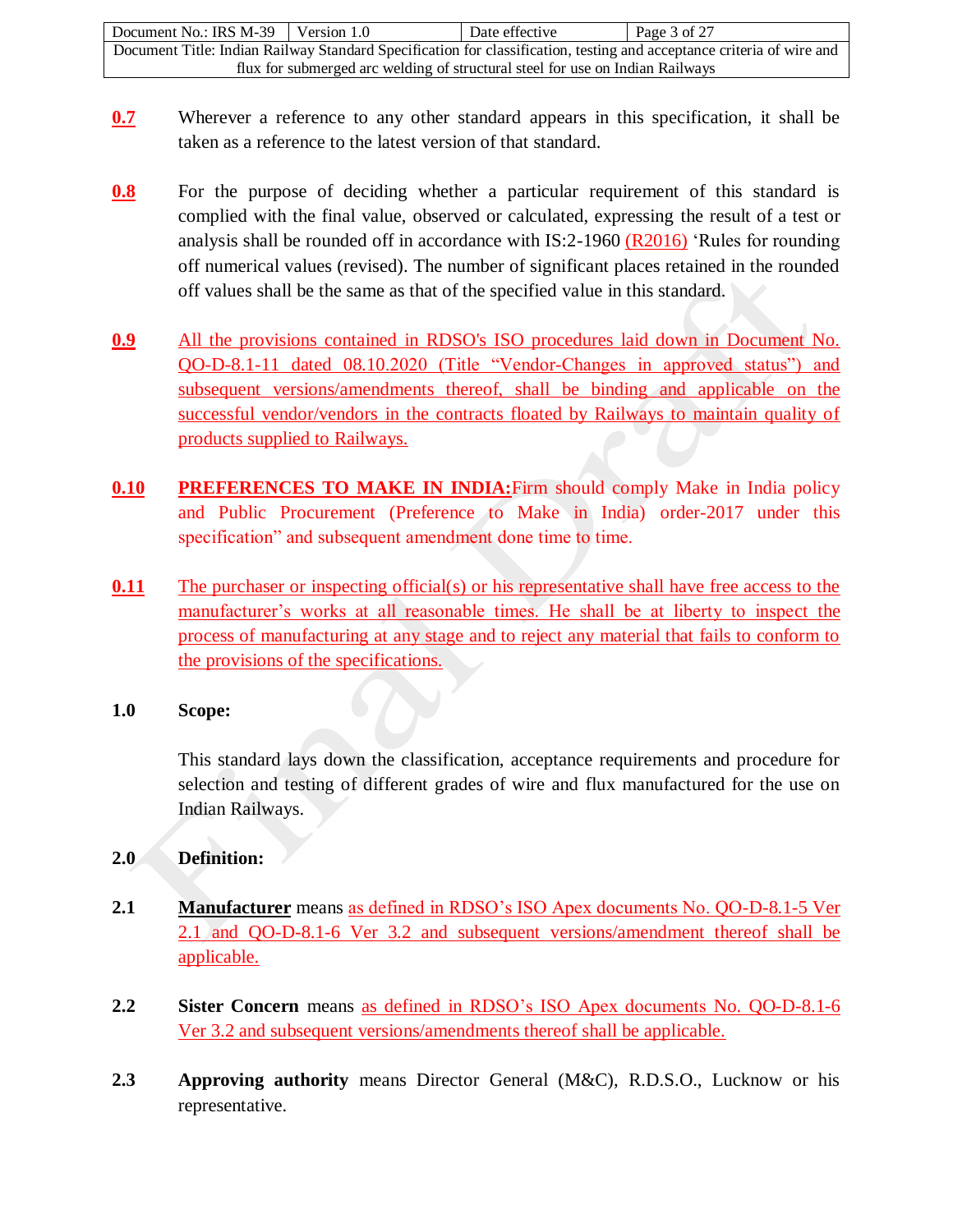| Document No.: IRS M-39                                                                                                | Version 1.0 | Date effective | Page 3 of $27$ |  |  |
|-----------------------------------------------------------------------------------------------------------------------|-------------|----------------|----------------|--|--|
| Document Title: Indian Railway Standard Specification for classification, testing and acceptance criteria of wire and |             |                |                |  |  |
| flux for submerged arc welding of structural steel for use on Indian Railways                                         |             |                |                |  |  |

- **0.7** Wherever a reference to any other standard appears in this specification, it shall be taken as a reference to the latest version of that standard.
- **0.8** For the purpose of deciding whether a particular requirement of this standard is complied with the final value, observed or calculated, expressing the result of a test or analysis shall be rounded off in accordance with IS:2-1960 (R2016) 'Rules for rounding off numerical values (revised). The number of significant places retained in the rounded off values shall be the same as that of the specified value in this standard.
- **0.9** All the provisions contained in RDSO's ISO procedures laid down in Document No. QO-D-8.1-11 dated 08.10.2020 (Title "Vendor-Changes in approved status") and subsequent versions/amendments thereof, shall be binding and applicable on the successful vendor/vendors in the contracts floated by Railways to maintain quality of products supplied to Railways.
- **0.10 PREFERENCES TO MAKE IN INDIA:**Firm should comply Make in India policy and Public Procurement (Preference to Make in India) order-2017 under this specification" and subsequent amendment done time to time.
- **0.11** The purchaser or inspecting official(s) or his representative shall have free access to the manufacturer's works at all reasonable times. He shall be at liberty to inspect the process of manufacturing at any stage and to reject any material that fails to conform to the provisions of the specifications.

### **1.0 Scope:**

This standard lays down the classification, acceptance requirements and procedure for selection and testing of different grades of wire and flux manufactured for the use on Indian Railways.

## **2.0 Definition:**

- **2.1 Manufacturer** means as defined in RDSO's ISO Apex documents No. QO-D-8.1-5 Ver 2.1 and QO-D-8.1-6 Ver 3.2 and subsequent versions/amendment thereof shall be applicable.
- **2.2 Sister Concern** means as defined in RDSO's ISO Apex documents No. QO-D-8.1-6 Ver 3.2 and subsequent versions/amendments thereof shall be applicable.
- **2.3 Approving authority** means Director General (M&C), R.D.S.O., Lucknow or his representative.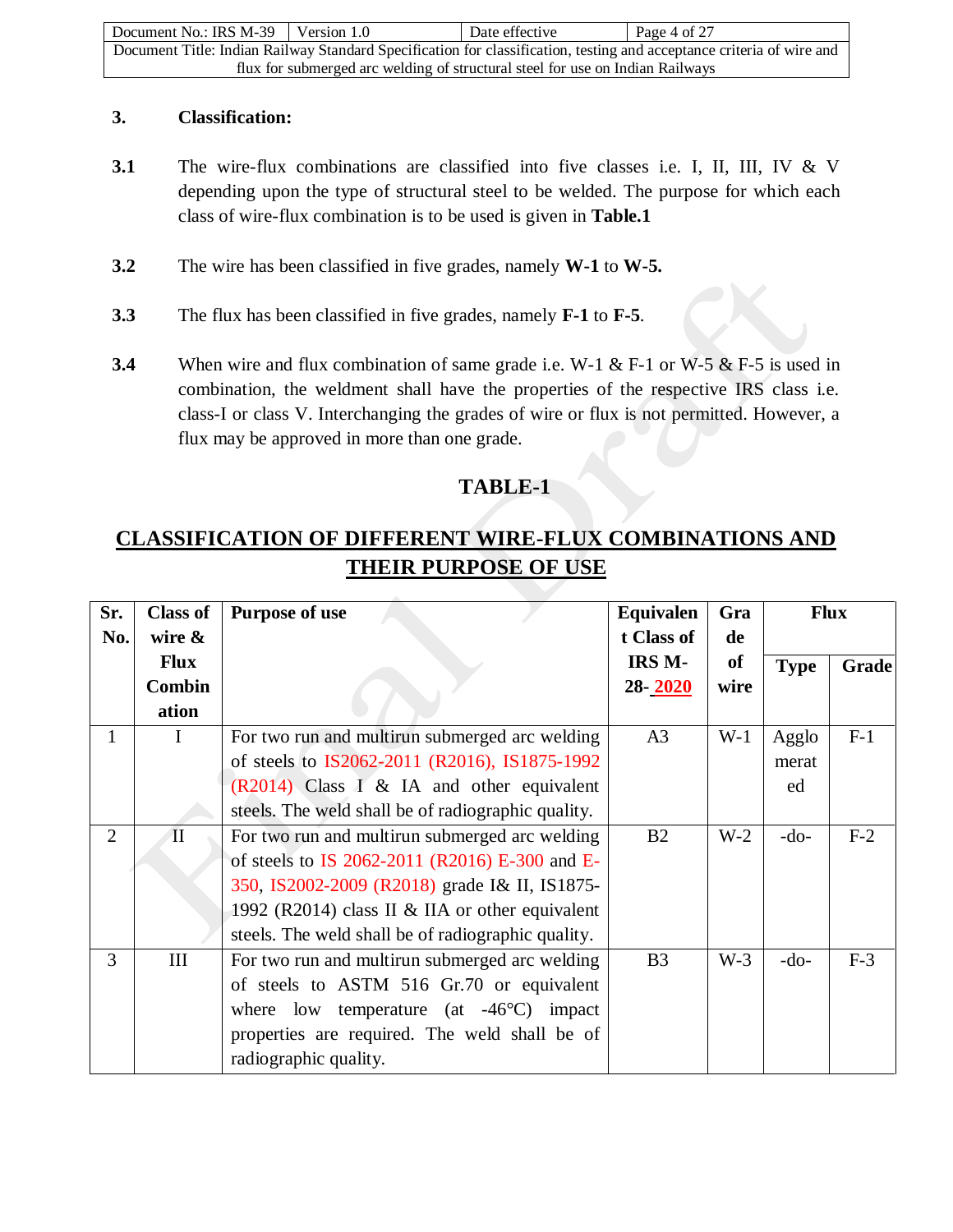| Document No.: IRS M-39                                                                                                | Version 1.0 | Date effective | Page 4 of $27$ |  |  |
|-----------------------------------------------------------------------------------------------------------------------|-------------|----------------|----------------|--|--|
| Document Title: Indian Railway Standard Specification for classification, testing and acceptance criteria of wire and |             |                |                |  |  |
| flux for submerged arc welding of structural steel for use on Indian Railways                                         |             |                |                |  |  |

### **3. Classification:**

- **3.1** The wire-flux combinations are classified into five classes i.e. I, II, III, IV & V depending upon the type of structural steel to be welded. The purpose for which each class of wire-flux combination is to be used is given in **Table.1**
- **3.2** The wire has been classified in five grades, namely **W-1** to **W-5.**
- **3.3** The flux has been classified in five grades, namely **F-1** to **F-5**.
- **3.4** When wire and flux combination of same grade i.e. W-1 & F-1 or W-5 & F-5 is used in combination, the weldment shall have the properties of the respective IRS class i.e. class-I or class V. Interchanging the grades of wire or flux is not permitted. However, a flux may be approved in more than one grade.

## **TABLE-1**

## **CLASSIFICATION OF DIFFERENT WIRE-FLUX COMBINATIONS AND THEIR PURPOSE OF USE**

| Sr.            | <b>Class of</b> | <b>Purpose of use</b>                              | Equivalen      | Gra           |             | <b>Flux</b> |
|----------------|-----------------|----------------------------------------------------|----------------|---------------|-------------|-------------|
| No.            | wire $\&$       |                                                    | t Class of     | de            |             |             |
|                | <b>Flux</b>     |                                                    | IRS M-         | <sub>of</sub> | <b>Type</b> | Grade       |
|                | <b>Combin</b>   |                                                    | 28-2020        | wire          |             |             |
|                | ation           |                                                    |                |               |             |             |
| $\mathbf{1}$   | I               | For two run and multirun submerged arc welding     | A <sub>3</sub> | $W-1$         | Agglo       | $F-1$       |
|                |                 | of steels to IS2062-2011 (R2016), IS1875-1992      |                |               | merat       |             |
|                |                 | $(R2014)$ Class I & IA and other equivalent        |                |               | ed          |             |
|                |                 | steels. The weld shall be of radiographic quality. |                |               |             |             |
| $\overline{2}$ | $\mathbf{I}$    | For two run and multirun submerged arc welding     | B2             | $W-2$         | $-do-$      | $F-2$       |
|                |                 | of steels to IS 2062-2011 (R2016) E-300 and E-     |                |               |             |             |
|                |                 | 350, IS2002-2009 (R2018) grade I& II, IS1875-      |                |               |             |             |
|                |                 | 1992 (R2014) class II & IIA or other equivalent    |                |               |             |             |
|                |                 | steels. The weld shall be of radiographic quality. |                |               |             |             |
| 3              | III             | For two run and multirun submerged arc welding     | B <sub>3</sub> | $W-3$         | $-do-$      | $F-3$       |
|                |                 | of steels to ASTM 516 Gr.70 or equivalent          |                |               |             |             |
|                |                 | where low temperature (at $-46^{\circ}$ C) impact  |                |               |             |             |
|                |                 | properties are required. The weld shall be of      |                |               |             |             |
|                |                 | radiographic quality.                              |                |               |             |             |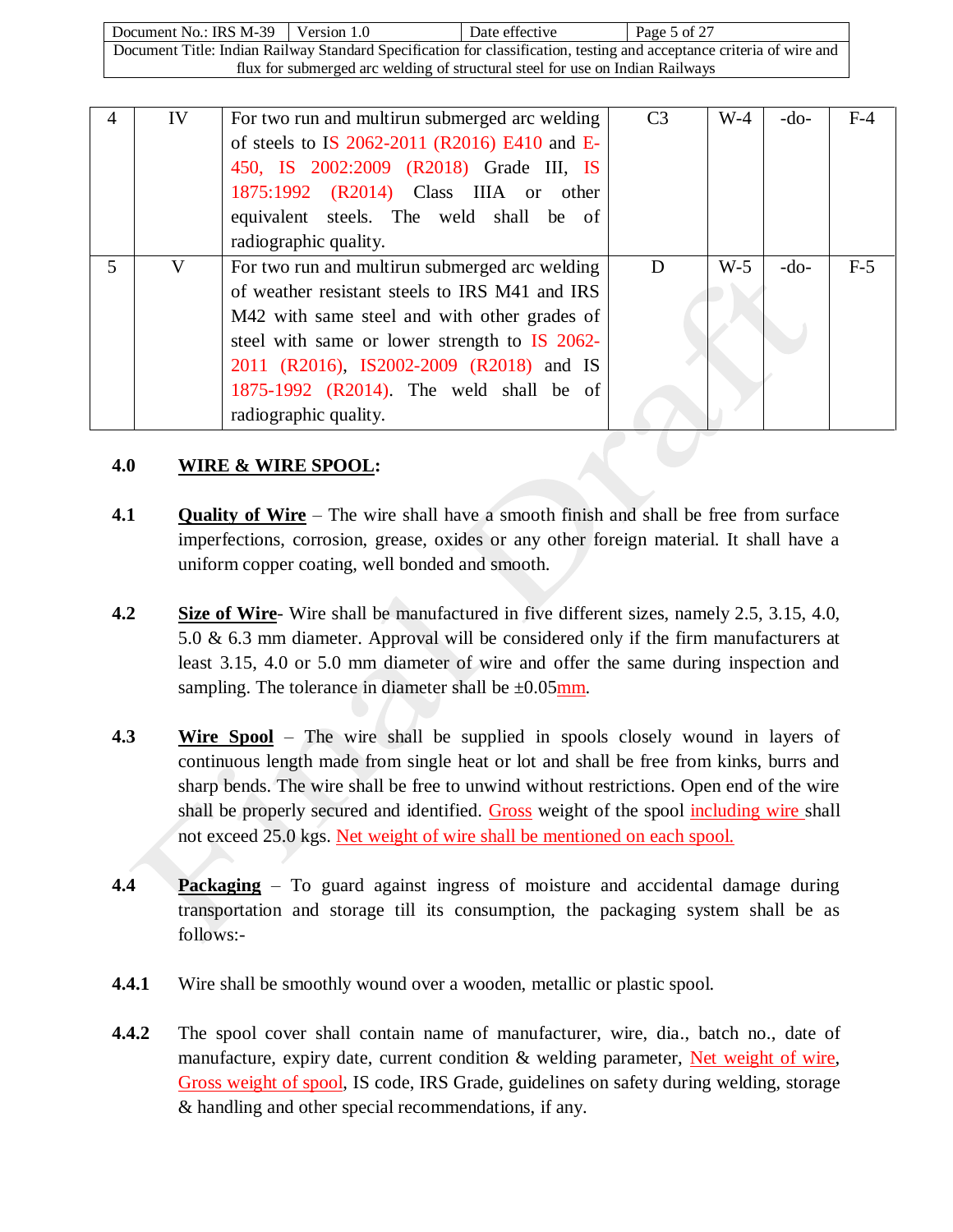Document No.: IRS M-39 Version 1.0 Date effective Page 5 of 27 Document Title: Indian Railway Standard Specification for classification, testing and acceptance criteria of wire and flux for submerged arc welding of structural steel for use on Indian Railways

| 4 | IV | For two run and multirun submerged arc welding<br>of steels to IS 2062-2011 (R2016) E410 and E-<br>450, IS 2002:2009 (R2018) Grade III, IS<br>1875:1992 (R2014) Class IIIA or other<br>equivalent steels. The weld shall be of                                                                                    | C <sub>3</sub> | $W-4$ | $-do-$ | $F-4$ |
|---|----|-------------------------------------------------------------------------------------------------------------------------------------------------------------------------------------------------------------------------------------------------------------------------------------------------------------------|----------------|-------|--------|-------|
|   |    | radiographic quality.                                                                                                                                                                                                                                                                                             |                |       |        |       |
| 5 | V  | For two run and multirun submerged arc welding<br>of weather resistant steels to IRS M41 and IRS<br>M42 with same steel and with other grades of<br>steel with same or lower strength to IS 2062-<br>2011 (R2016), IS2002-2009 (R2018) and IS<br>1875-1992 (R2014). The weld shall be of<br>radiographic quality. | D              | $W-5$ | $-do-$ | $F-5$ |

## **4.0 WIRE & WIRE SPOOL:**

- **4.1 Quality of Wire** The wire shall have a smooth finish and shall be free from surface imperfections, corrosion, grease, oxides or any other foreign material. It shall have a uniform copper coating, well bonded and smooth.
- **4.2 Size of Wire** Wire shall be manufactured in five different sizes, namely 2.5, 3.15, 4.0, 5.0 & 6.3 mm diameter. Approval will be considered only if the firm manufacturers at least 3.15, 4.0 or 5.0 mm diameter of wire and offer the same during inspection and sampling. The tolerance in diameter shall be  $\pm 0.05$  mm.
- **4.3 Wire Spool** The wire shall be supplied in spools closely wound in layers of continuous length made from single heat or lot and shall be free from kinks, burrs and sharp bends. The wire shall be free to unwind without restrictions. Open end of the wire shall be properly secured and identified. Gross weight of the spool including wire shall not exceed 25.0 kgs. Net weight of wire shall be mentioned on each spool.
- **4.4 Packaging** To guard against ingress of moisture and accidental damage during transportation and storage till its consumption, the packaging system shall be as follows:-
- **4.4.1** Wire shall be smoothly wound over a wooden, metallic or plastic spool.
- **4.4.2** The spool cover shall contain name of manufacturer, wire, dia., batch no., date of manufacture, expiry date, current condition  $\&$  welding parameter. Net weight of wire, Gross weight of spool, IS code, IRS Grade, guidelines on safety during welding, storage & handling and other special recommendations, if any.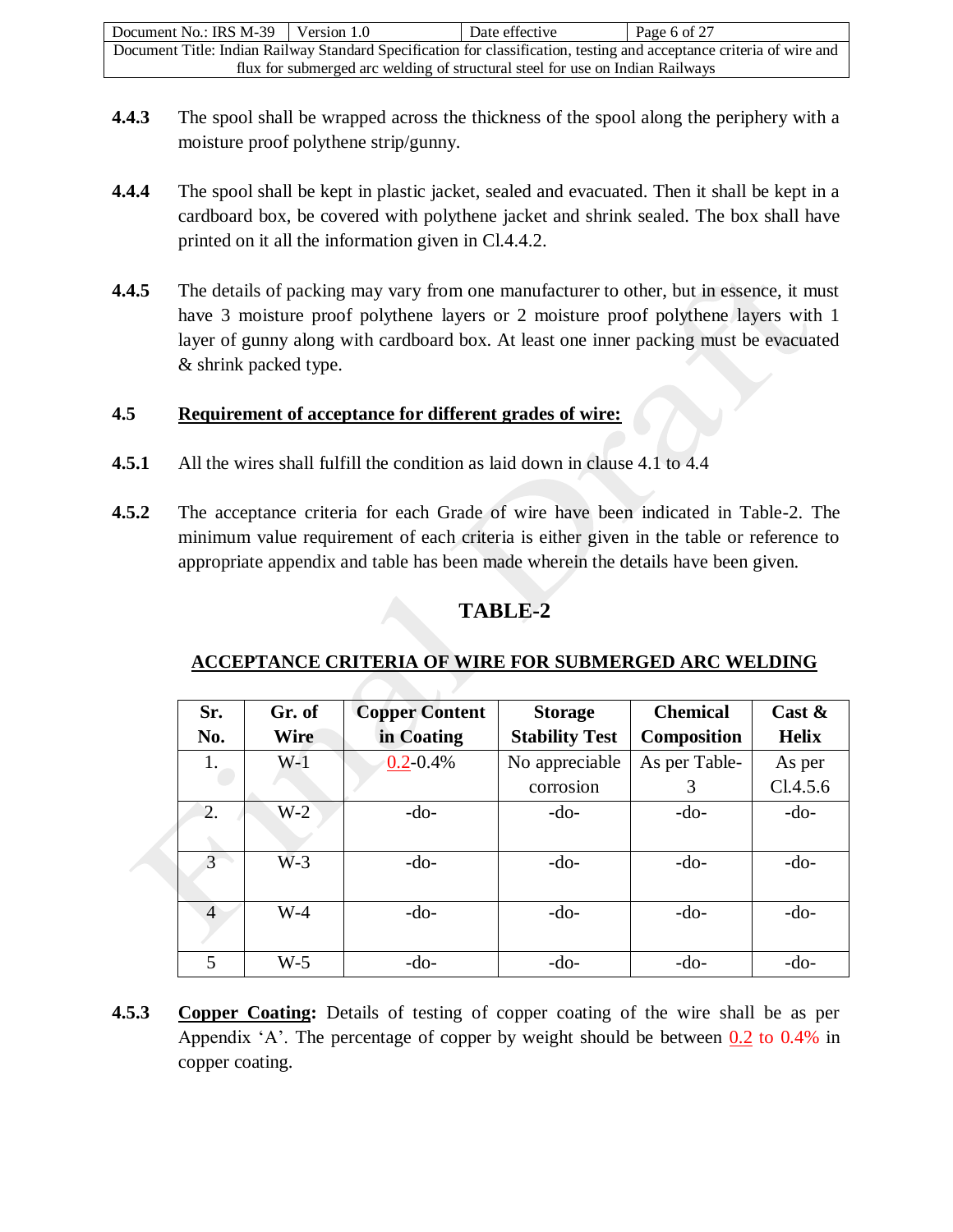| Document No.: IRS M-39                                                                                                | Version 1.0 | Date effective | Page 6 of 27 |  |  |
|-----------------------------------------------------------------------------------------------------------------------|-------------|----------------|--------------|--|--|
| Document Title: Indian Railway Standard Specification for classification, testing and acceptance criteria of wire and |             |                |              |  |  |
| flux for submerged arc welding of structural steel for use on Indian Railways                                         |             |                |              |  |  |

- **4.4.3** The spool shall be wrapped across the thickness of the spool along the periphery with a moisture proof polythene strip/gunny.
- **4.4.4** The spool shall be kept in plastic jacket, sealed and evacuated. Then it shall be kept in a cardboard box, be covered with polythene jacket and shrink sealed. The box shall have printed on it all the information given in Cl.4.4.2.
- **4.4.5** The details of packing may vary from one manufacturer to other, but in essence, it must have 3 moisture proof polythene layers or 2 moisture proof polythene layers with 1 layer of gunny along with cardboard box. At least one inner packing must be evacuated & shrink packed type.

#### **4.5 Requirement of acceptance for different grades of wire:**

- **4.5.1** All the wires shall fulfill the condition as laid down in clause 4.1 to 4.4
- **4.5.2** The acceptance criteria for each Grade of wire have been indicated in Table-2. The minimum value requirement of each criteria is either given in the table or reference to appropriate appendix and table has been made wherein the details have been given.

## **TABLE-2**

## **ACCEPTANCE CRITERIA OF WIRE FOR SUBMERGED ARC WELDING**

| Sr.            | Gr. of      | <b>Copper Content</b> | <b>Storage</b>        | <b>Chemical</b>    | Cast $\&$    |
|----------------|-------------|-----------------------|-----------------------|--------------------|--------------|
| No.            | <b>Wire</b> | in Coating            | <b>Stability Test</b> | <b>Composition</b> | <b>Helix</b> |
| 1.             | $W-1$       | $0.2 - 0.4\%$         | No appreciable        | As per Table-      | As per       |
|                |             |                       | corrosion             | 3                  | Cl.4.5.6     |
| 2.             | $W-2$       | $-do-$                | $-do-$                | $-do-$             | $-do-$       |
|                |             |                       |                       |                    |              |
| 3              | $W-3$       | $-do-$                | $-do-$                | $-do-$             | $-do-$       |
|                |             |                       |                       |                    |              |
| $\overline{4}$ | $W-4$       | $-do-$                | $-do-$                | $-do-$             | $-do-$       |
|                |             |                       |                       |                    |              |
| 5              | $W-5$       | $-do-$                | $-do-$                | $-do-$             | $-do-$       |

**4.5.3 Copper Coating:** Details of testing of copper coating of the wire shall be as per Appendix 'A'. The percentage of copper by weight should be between  $0.2$  to 0.4% in copper coating.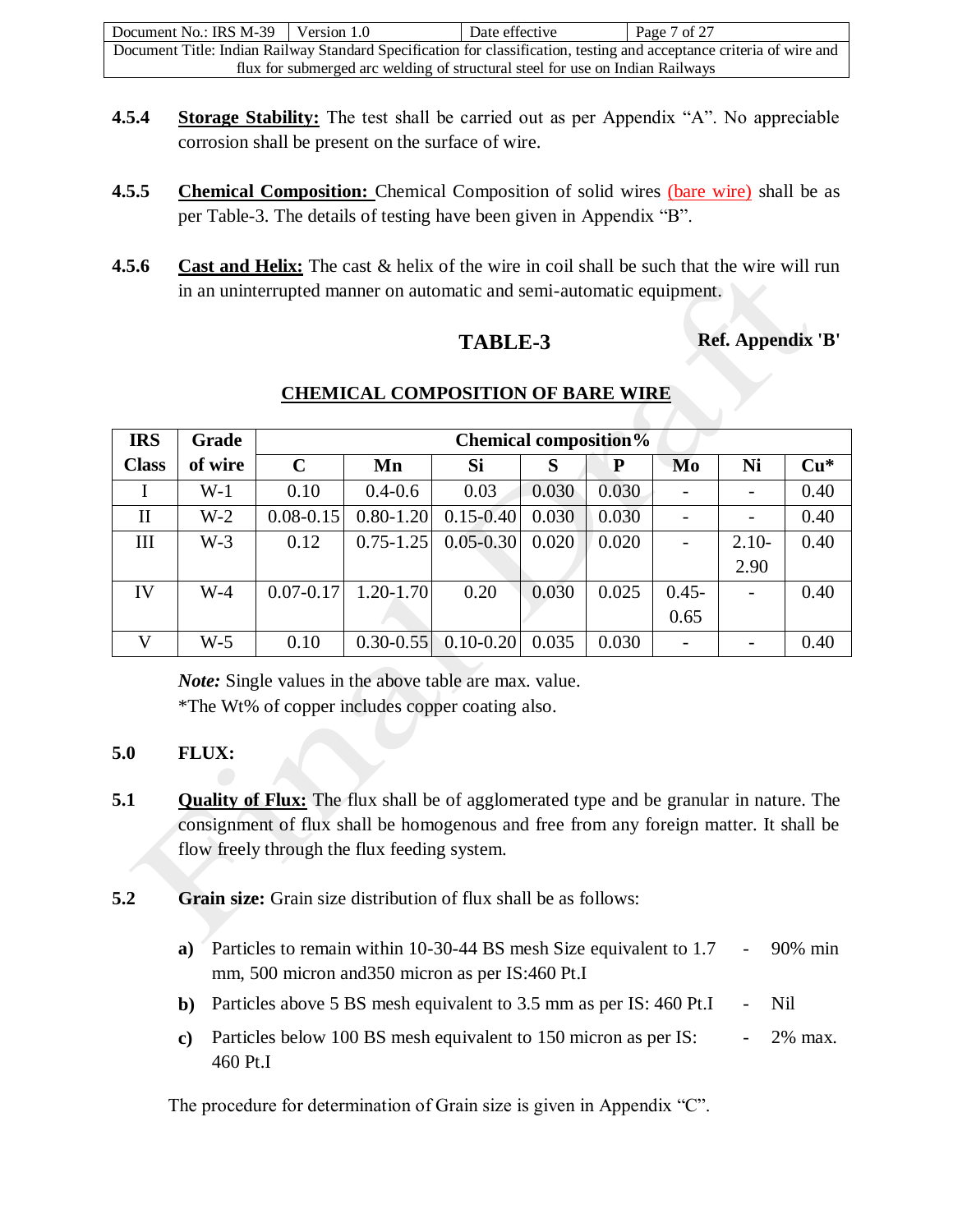| Document No.: IRS $M-39$ Version 1.0                                                                                  |  | Date effective | Page 7 of 27 |  |  |
|-----------------------------------------------------------------------------------------------------------------------|--|----------------|--------------|--|--|
| Document Title: Indian Railway Standard Specification for classification, testing and acceptance criteria of wire and |  |                |              |  |  |
| flux for submerged arc welding of structural steel for use on Indian Railways                                         |  |                |              |  |  |

- **4.5.4 Storage Stability:** The test shall be carried out as per Appendix "A". No appreciable corrosion shall be present on the surface of wire.
- **4.5.5 Chemical Composition:** Chemical Composition of solid wires (bare wire) shall be as per Table-3. The details of testing have been given in Appendix "B".
- **4.5.6 Cast and Helix:** The cast & helix of the wire in coil shall be such that the wire will run in an uninterrupted manner on automatic and semi-automatic equipment.

**TABLE-3 Ref. Appendix 'B'**

| <b>IRS</b>   | Grade   | <b>Chemical composition%</b> |               |                         |       |       |          |         |       |
|--------------|---------|------------------------------|---------------|-------------------------|-------|-------|----------|---------|-------|
| <b>Class</b> | of wire | $\mathbf C$                  | Mn            | Si                      | S     | P     | Mo       | Ni      | $Cu*$ |
|              | $W-1$   | 0.10                         | $0.4 - 0.6$   | 0.03                    | 0.030 | 0.030 |          |         | 0.40  |
| $\mathbf{I}$ | $W-2$   | $0.08 - 0.15$                | $0.80 - 1.20$ | $0.15 - 0.40$           | 0.030 | 0.030 |          |         | 0.40  |
| Ш            | $W-3$   | 0.12                         | $0.75 - 1.25$ | $0.05 - 0.30$           | 0.020 | 0.020 |          | $2.10-$ | 0.40  |
|              |         |                              |               |                         |       |       |          | 2.90    |       |
| IV           | $W-4$   | $0.07 - 0.17$                | $1.20 - 1.70$ | 0.20                    | 0.030 | 0.025 | $0.45 -$ |         | 0.40  |
|              |         |                              |               |                         |       |       | 0.65     |         |       |
| V            | $W-5$   | 0.10                         |               | $0.30 - 0.55$ 0.10-0.20 | 0.035 | 0.030 |          |         | 0.40  |

## **CHEMICAL COMPOSITION OF BARE WIRE**

*Note:* Single values in the above table are max. value. \*The Wt% of copper includes copper coating also.

## **5.0 FLUX:**

- **5.1 Quality of Flux:** The flux shall be of agglomerated type and be granular in nature. The consignment of flux shall be homogenous and free from any foreign matter. It shall be flow freely through the flux feeding system.
- **5.2 Grain size:** Grain size distribution of flux shall be as follows:
	- **a)** Particles to remain within 10-30-44 BS mesh Size equivalent to 1.7 mm, 500 micron and350 micron as per IS:460 Pt.I - 90% min
	- **b**) Particles above 5 BS mesh equivalent to 3.5 mm as per IS: 460 Pt.I Nil
	- **c)** Particles below 100 BS mesh equivalent to 150 micron as per IS: 460 Pt.I - 2% max.

The procedure for determination of Grain size is given in Appendix "C".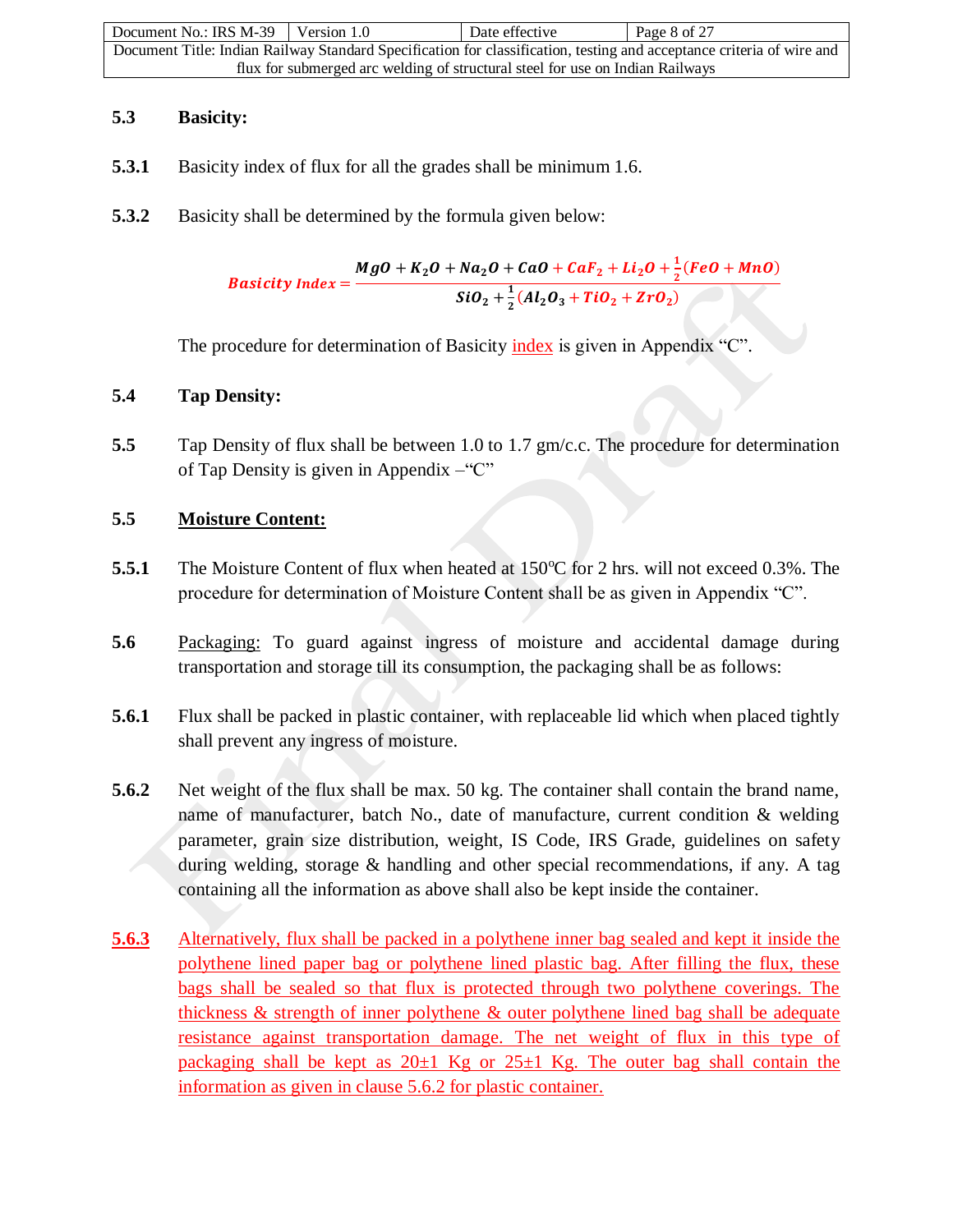| Document No.: IRS M-39                                                                                                | Version 1.0 | Date effective | Page 8 of 27 |  |  |
|-----------------------------------------------------------------------------------------------------------------------|-------------|----------------|--------------|--|--|
| Document Title: Indian Railway Standard Specification for classification, testing and acceptance criteria of wire and |             |                |              |  |  |
| flux for submerged arc welding of structural steel for use on Indian Railways                                         |             |                |              |  |  |

## **5.3 Basicity:**

- **5.3.1** Basicity index of flux for all the grades shall be minimum 1.6.
- **5.3.2** Basicity shall be determined by the formula given below:

Basicity Index =  $MgO + K_2O + Na_2O + CaO + CaF_2 + Li_2O + \frac{1}{2}$  $\frac{1}{2}$ (FeO + MnO)  $SiO_2 + \frac{1}{2}$  $\frac{1}{2}(Al_2O_3 + TiO_2 + ZrO_2)$ 

The procedure for determination of Basicity index is given in Appendix "C".

## **5.4 Tap Density:**

**5.5** Tap Density of flux shall be between 1.0 to 1.7 gm/c.c. The procedure for determination of Tap Density is given in Appendix –"C"

## **5.5 Moisture Content:**

- **5.5.1** The Moisture Content of flux when heated at 150<sup>o</sup>C for 2 hrs. will not exceed 0.3%. The procedure for determination of Moisture Content shall be as given in Appendix "C".
- **5.6** Packaging: To guard against ingress of moisture and accidental damage during transportation and storage till its consumption, the packaging shall be as follows:
- **5.6.1** Flux shall be packed in plastic container, with replaceable lid which when placed tightly shall prevent any ingress of moisture.
- **5.6.2** Net weight of the flux shall be max. 50 kg. The container shall contain the brand name, name of manufacturer, batch No., date of manufacture, current condition & welding parameter, grain size distribution, weight, IS Code, IRS Grade, guidelines on safety during welding, storage & handling and other special recommendations, if any. A tag containing all the information as above shall also be kept inside the container.
- **5.6.3** Alternatively, flux shall be packed in a polythene inner bag sealed and kept it inside the polythene lined paper bag or polythene lined plastic bag. After filling the flux, these bags shall be sealed so that flux is protected through two polythene coverings. The thickness & strength of inner polythene & outer polythene lined bag shall be adequate resistance against transportation damage. The net weight of flux in this type of packaging shall be kept as  $20\pm1$  Kg or  $25\pm1$  Kg. The outer bag shall contain the information as given in clause 5.6.2 for plastic container.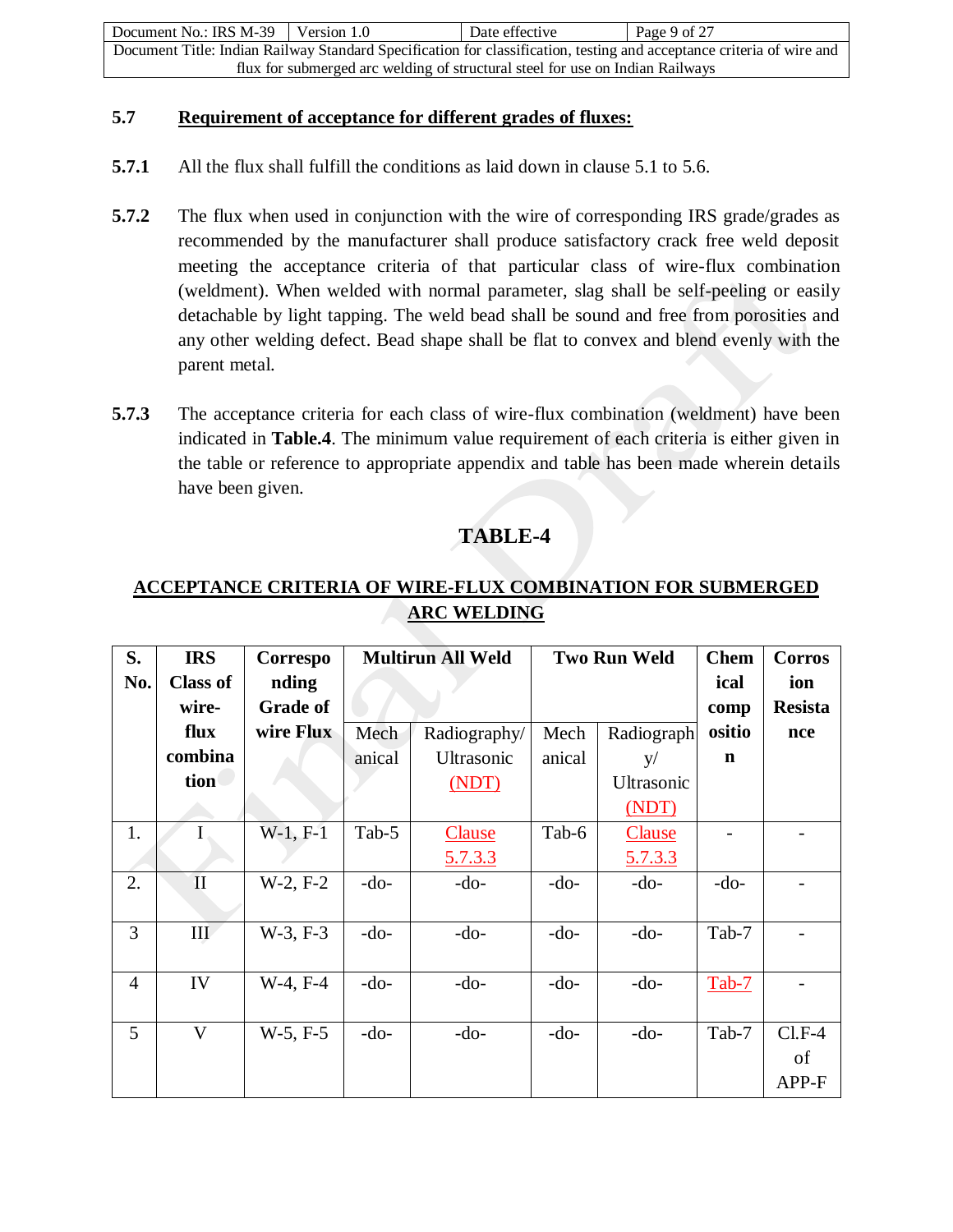| Document No.: IRS $M-39$ Version 1.0                                                                                  |  | Date effective | Page 9 of 27 |  |  |
|-----------------------------------------------------------------------------------------------------------------------|--|----------------|--------------|--|--|
| Document Title: Indian Railway Standard Specification for classification, testing and acceptance criteria of wire and |  |                |              |  |  |
| flux for submerged arc welding of structural steel for use on Indian Railways                                         |  |                |              |  |  |

#### **5.7 Requirement of acceptance for different grades of fluxes:**

- **5.7.1** All the flux shall fulfill the conditions as laid down in clause 5.1 to 5.6.
- **5.7.2** The flux when used in conjunction with the wire of corresponding IRS grade/grades as recommended by the manufacturer shall produce satisfactory crack free weld deposit meeting the acceptance criteria of that particular class of wire-flux combination (weldment). When welded with normal parameter, slag shall be self-peeling or easily detachable by light tapping. The weld bead shall be sound and free from porosities and any other welding defect. Bead shape shall be flat to convex and blend evenly with the parent metal.
- **5.7.3** The acceptance criteria for each class of wire-flux combination (weldment) have been indicated in **Table.4**. The minimum value requirement of each criteria is either given in the table or reference to appropriate appendix and table has been made wherein details have been given.

## **TABLE-4**

## **ACCEPTANCE CRITERIA OF WIRE-FLUX COMBINATION FOR SUBMERGED ARC WELDING**

| S.             | <b>IRS</b>      | Correspo        | <b>Multirun All Weld</b> |                | <b>Two Run Weld</b> |                | <b>Chem</b> | <b>Corros</b>  |
|----------------|-----------------|-----------------|--------------------------|----------------|---------------------|----------------|-------------|----------------|
| No.            | <b>Class of</b> | nding           |                          |                |                     |                | ical        | ion            |
|                | wire-           | <b>Grade of</b> |                          |                |                     |                | comp        | <b>Resista</b> |
|                | flux            | wire Flux       | Mech                     | Radiography/   | Mech                | Radiograph     | ositio      | nce            |
|                | combina         |                 | anical                   | Ultrasonic     | anical              | y/             | $\mathbf n$ |                |
|                | tion            |                 |                          | (MDT)          |                     | Ultrasonic     |             |                |
|                |                 |                 |                          |                |                     | (MDT)          |             |                |
| 1.             |                 | $W-1, F-1$      | Tab-5                    | <b>Clause</b>  | Tab-6               | <b>Clause</b>  |             |                |
|                |                 |                 |                          | <u>5.7.3.3</u> |                     | <u>5.7.3.3</u> |             |                |
| 2.             | $\mathbf{I}$    | $W-2, F-2$      | $-do-$                   | $-do-$         | $-do-$              | $-do-$         | $-do-$      |                |
|                |                 |                 |                          |                |                     |                |             |                |
| 3              | III             | $W-3, F-3$      | $-do-$                   | $-do-$         | $-do-$              | $-do-$         | Tab-7       |                |
|                |                 |                 |                          |                |                     |                |             |                |
| $\overline{4}$ | IV              | $W-4, F-4$      | $-do-$                   | $-do-$         | $-do-$              | $-do-$         | $Tab-7$     |                |
|                |                 |                 |                          |                |                     |                |             |                |
| 5              | V               | $W-5, F-5$      | $-do-$                   | $-do-$         | $-do-$              | $-do-$         | Tab-7       | $CLF-4$        |
|                |                 |                 |                          |                |                     |                |             | of             |
|                |                 |                 |                          |                |                     |                |             | APP-F          |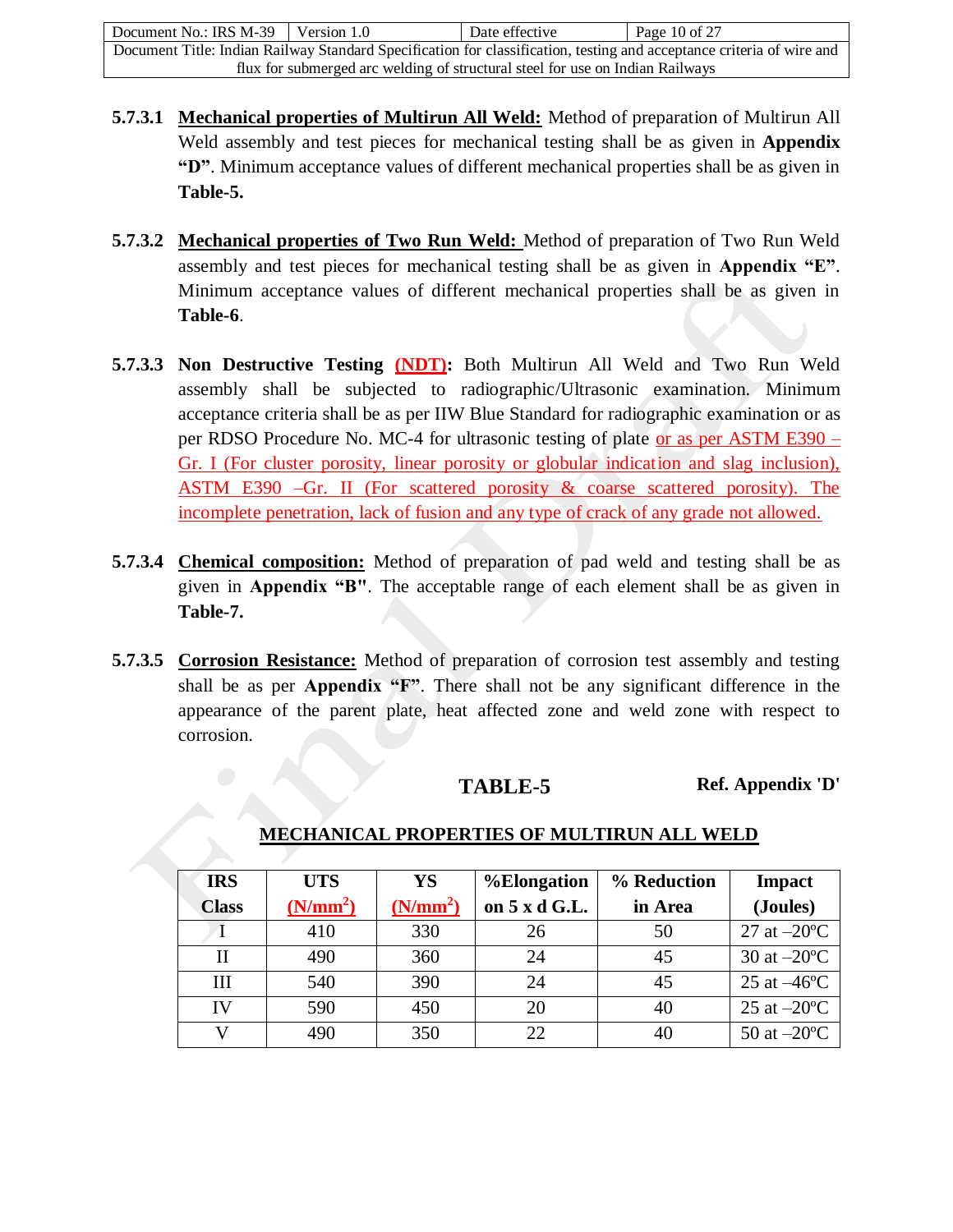| Document No.: IRS M-39                                                                                                | Version 1.0 | Date effective | Page 10 of 27 |  |
|-----------------------------------------------------------------------------------------------------------------------|-------------|----------------|---------------|--|
| Document Title: Indian Railway Standard Specification for classification, testing and acceptance criteria of wire and |             |                |               |  |
| flux for submerged arc welding of structural steel for use on Indian Railways                                         |             |                |               |  |

- **5.7.3.1 Mechanical properties of Multirun All Weld:** Method of preparation of Multirun All Weld assembly and test pieces for mechanical testing shall be as given in **Appendix "D"**. Minimum acceptance values of different mechanical properties shall be as given in **Table-5.**
- **5.7.3.2 Mechanical properties of Two Run Weld:** Method of preparation of Two Run Weld assembly and test pieces for mechanical testing shall be as given in **Appendix "E"**. Minimum acceptance values of different mechanical properties shall be as given in **Table-6**.
- **5.7.3.3 Non Destructive Testing (NDT):** Both Multirun All Weld and Two Run Weld assembly shall be subjected to radiographic/Ultrasonic examination. Minimum acceptance criteria shall be as per IIW Blue Standard for radiographic examination or as per RDSO Procedure No. MC-4 for ultrasonic testing of plate or as per ASTM E390 – Gr. I (For cluster porosity, linear porosity or globular indication and slag inclusion), ASTM E390 –Gr. II (For scattered porosity & coarse scattered porosity). The incomplete penetration, lack of fusion and any type of crack of any grade not allowed.
- **5.7.3.4 Chemical composition:** Method of preparation of pad weld and testing shall be as given in **Appendix "B"**. The acceptable range of each element shall be as given in **Table-7.**
- **5.7.3.5 Corrosion Resistance:** Method of preparation of corrosion test assembly and testing shall be as per **Appendix "F"**. There shall not be any significant difference in the appearance of the parent plate, heat affected zone and weld zone with respect to corrosion.

## **TABLE-5 Ref. Appendix 'D'**

| <b>IRS</b>   | <b>UTS</b>           | YS                   | <i><b>%Elongation</b></i> | % Reduction | Impact                |
|--------------|----------------------|----------------------|---------------------------|-------------|-----------------------|
| <b>Class</b> | (N/mm <sup>2</sup> ) | (N/mm <sup>2</sup> ) | on 5 x d G.L.             | in Area     | (Joules)              |
|              | 410                  | 330                  | 26                        | 50          | 27 at $-20^{\circ}$ C |
| Н            | 490                  | 360                  | 24                        | 45          | 30 at $-20^{\circ}$ C |
| III          | 540                  | 390                  | 24                        | 45          | 25 at $-46^{\circ}$ C |
| IV           | 590                  | 450                  | 20                        | 40          | 25 at $-20^{\circ}$ C |
|              | 490                  | 350                  | 22                        | 40          | 50 at $-20^{\circ}$ C |

## **MECHANICAL PROPERTIES OF MULTIRUN ALL WELD**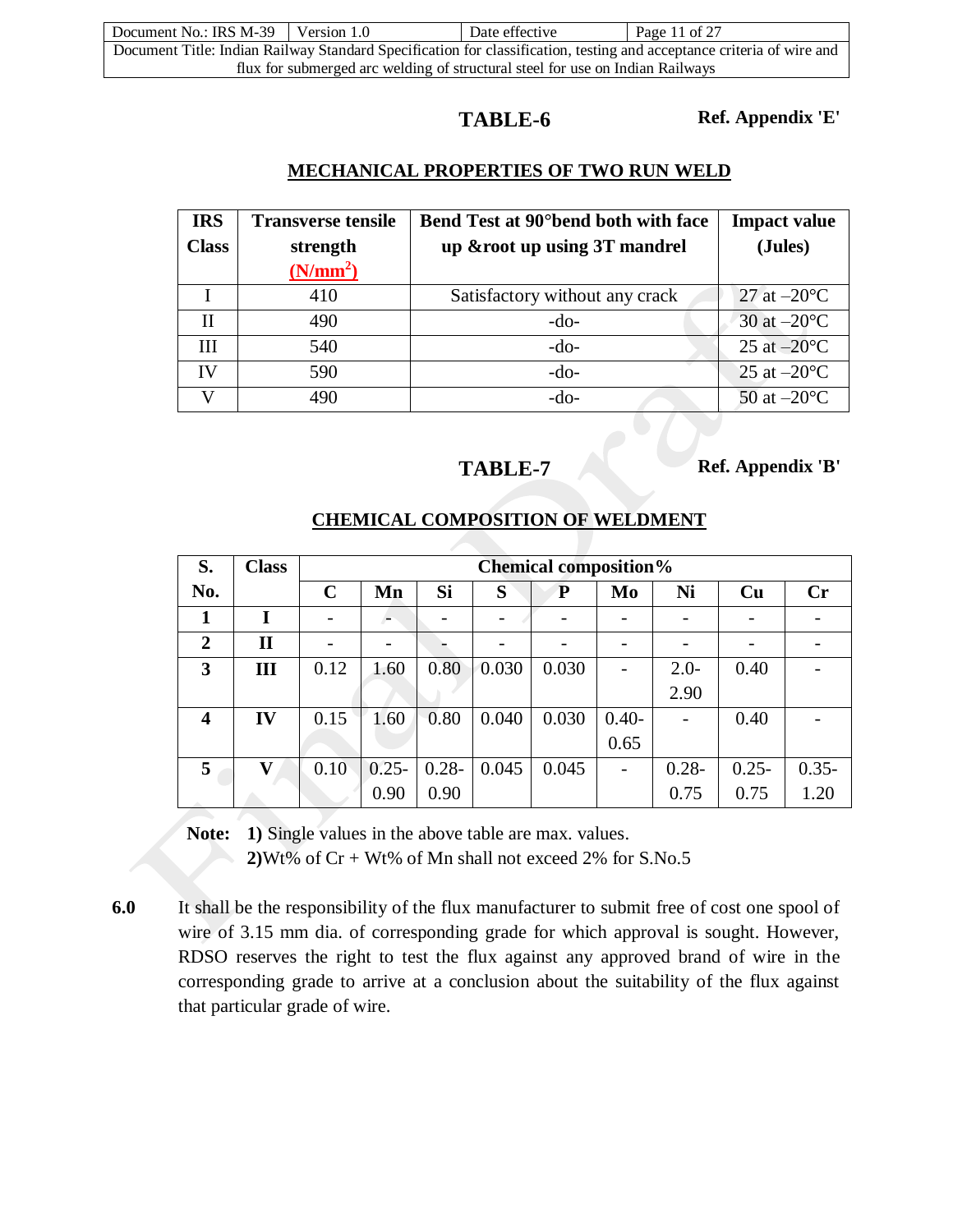| Document No.: IRS M-39 Version 1.0                                                                                    |  | Date effective | Page 11 of 27 |  |
|-----------------------------------------------------------------------------------------------------------------------|--|----------------|---------------|--|
| Document Title: Indian Railway Standard Specification for classification, testing and acceptance criteria of wire and |  |                |               |  |
| flux for submerged arc welding of structural steel for use on Indian Railways                                         |  |                |               |  |

**TABLE-6 Ref. Appendix 'E'**

## **MECHANICAL PROPERTIES OF TWO RUN WELD**

| <b>IRS</b>   | <b>Transverse tensile</b> | Bend Test at 90° bend both with face | <b>Impact value</b>   |
|--------------|---------------------------|--------------------------------------|-----------------------|
| <b>Class</b> | strength                  | up & root up using 3T mandrel        | (Jules)               |
|              | (N/mm <sup>2</sup> )      |                                      |                       |
|              | 410                       | Satisfactory without any crack       | 27 at $-20^{\circ}$ C |
| Н            | 490                       | $-do-$                               | 30 at $-20^{\circ}$ C |
| Ш            | 540                       | $-do-$                               | 25 at $-20^{\circ}$ C |
| IV           | 590                       | $-do-$                               | 25 at $-20^{\circ}$ C |
|              | 490                       | $-do-$                               | 50 at $-20^{\circ}$ C |

**TABLE-7 Ref. Appendix 'B'**

| S.                      | <b>Class</b> |             | <b>Chemical composition%</b> |           |       |           |         |          |          |                |
|-------------------------|--------------|-------------|------------------------------|-----------|-------|-----------|---------|----------|----------|----------------|
| No.                     |              | $\mathbf C$ | Mn                           | <b>Si</b> | S     | ${\bf P}$ | Mo      | Ni       | Cu       | $\mathbf{C}$ r |
| 1                       | I            |             |                              |           |       |           |         |          |          |                |
| $\overline{2}$          | П            |             |                              |           |       |           |         |          |          |                |
| 3                       | Ш            | 0.12        | 1.60                         | 0.80      | 0.030 | 0.030     |         | $2.0-$   | 0.40     |                |
|                         |              |             |                              |           |       |           |         | 2.90     |          |                |
| $\overline{\mathbf{4}}$ | IV           | 0.15        | 1.60                         | 0.80      | 0.040 | 0.030     | $0.40-$ |          | 0.40     |                |
|                         |              |             |                              |           |       |           | 0.65    |          |          |                |
| 5                       | V            | 0.10        | $0.25 -$                     | $0.28 -$  | 0.045 | 0.045     |         | $0.28 -$ | $0.25 -$ | $0.35 -$       |
|                         |              |             | 0.90                         | 0.90      |       |           |         | 0.75     | 0.75     | 1.20           |

## **CHEMICAL COMPOSITION OF WELDMENT**

**Note: 1)** Single values in the above table are max. values.

**2)**Wt% of Cr + Wt% of Mn shall not exceed 2% for S.No.5

**6.0** It shall be the responsibility of the flux manufacturer to submit free of cost one spool of wire of 3.15 mm dia. of corresponding grade for which approval is sought. However, RDSO reserves the right to test the flux against any approved brand of wire in the corresponding grade to arrive at a conclusion about the suitability of the flux against that particular grade of wire.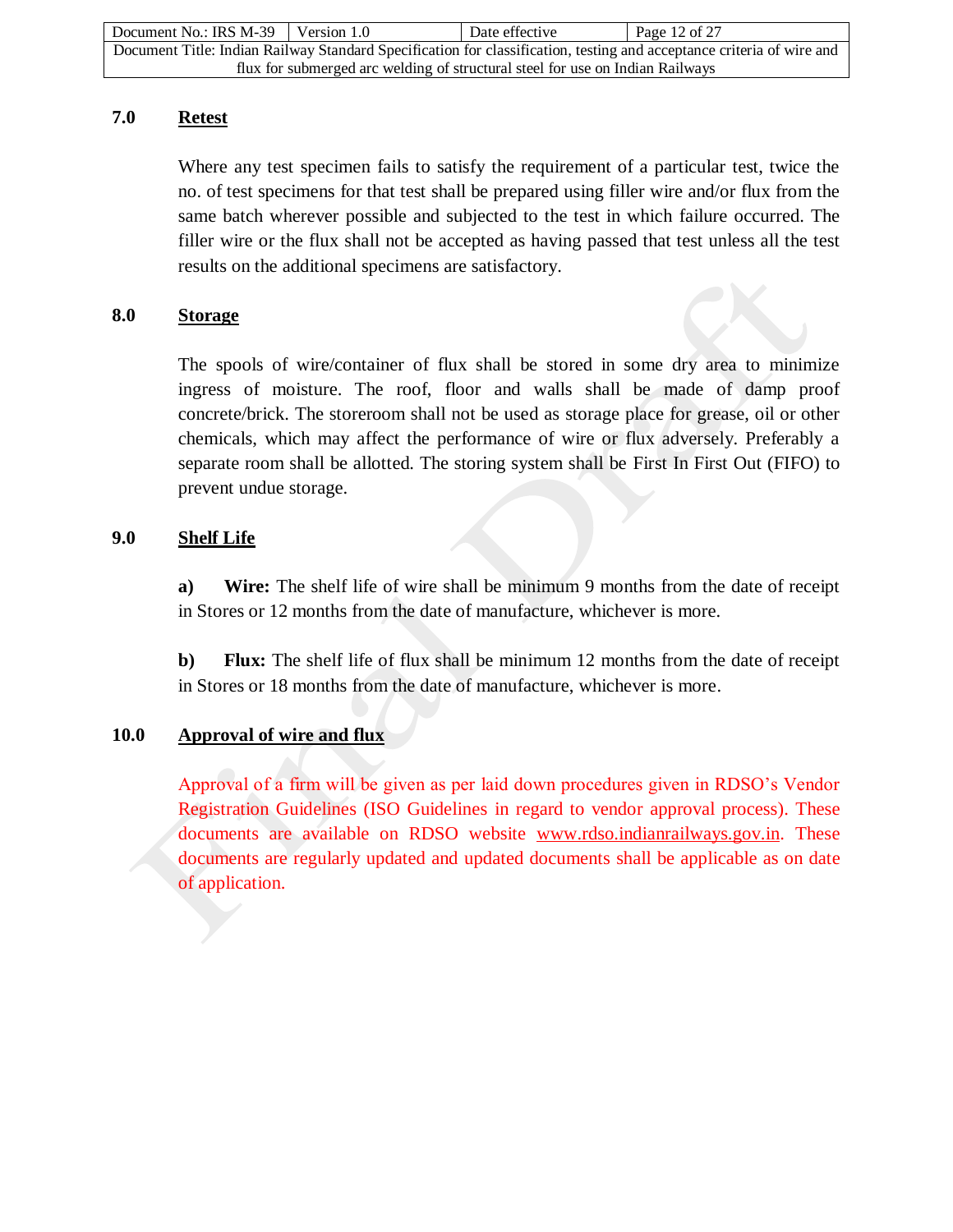| Document No.: IRS M-39                                                                                                | Version 1.0 | Date effective | Page 12 of 27 |  |
|-----------------------------------------------------------------------------------------------------------------------|-------------|----------------|---------------|--|
| Document Title: Indian Railway Standard Specification for classification, testing and acceptance criteria of wire and |             |                |               |  |
| flux for submerged arc welding of structural steel for use on Indian Railways                                         |             |                |               |  |

### **7.0 Retest**

Where any test specimen fails to satisfy the requirement of a particular test, twice the no. of test specimens for that test shall be prepared using filler wire and/or flux from the same batch wherever possible and subjected to the test in which failure occurred. The filler wire or the flux shall not be accepted as having passed that test unless all the test results on the additional specimens are satisfactory.

## **8.0 Storage**

The spools of wire/container of flux shall be stored in some dry area to minimize ingress of moisture. The roof, floor and walls shall be made of damp proof concrete/brick. The storeroom shall not be used as storage place for grease, oil or other chemicals, which may affect the performance of wire or flux adversely. Preferably a separate room shall be allotted. The storing system shall be First In First Out (FIFO) to prevent undue storage.

## **9.0 Shelf Life**

**a) Wire:** The shelf life of wire shall be minimum 9 months from the date of receipt in Stores or 12 months from the date of manufacture, whichever is more.

**b) Flux:** The shelf life of flux shall be minimum 12 months from the date of receipt in Stores or 18 months from the date of manufacture, whichever is more.

## **10.0 Approval of wire and flux**

Approval of a firm will be given as per laid down procedures given in RDSO's Vendor Registration Guidelines (ISO Guidelines in regard to vendor approval process). These documents are available on RDSO website [www.rdso.indianrailways.gov.in.](http://www.rdso.indianrailways.gov.in/) These documents are regularly updated and updated documents shall be applicable as on date of application.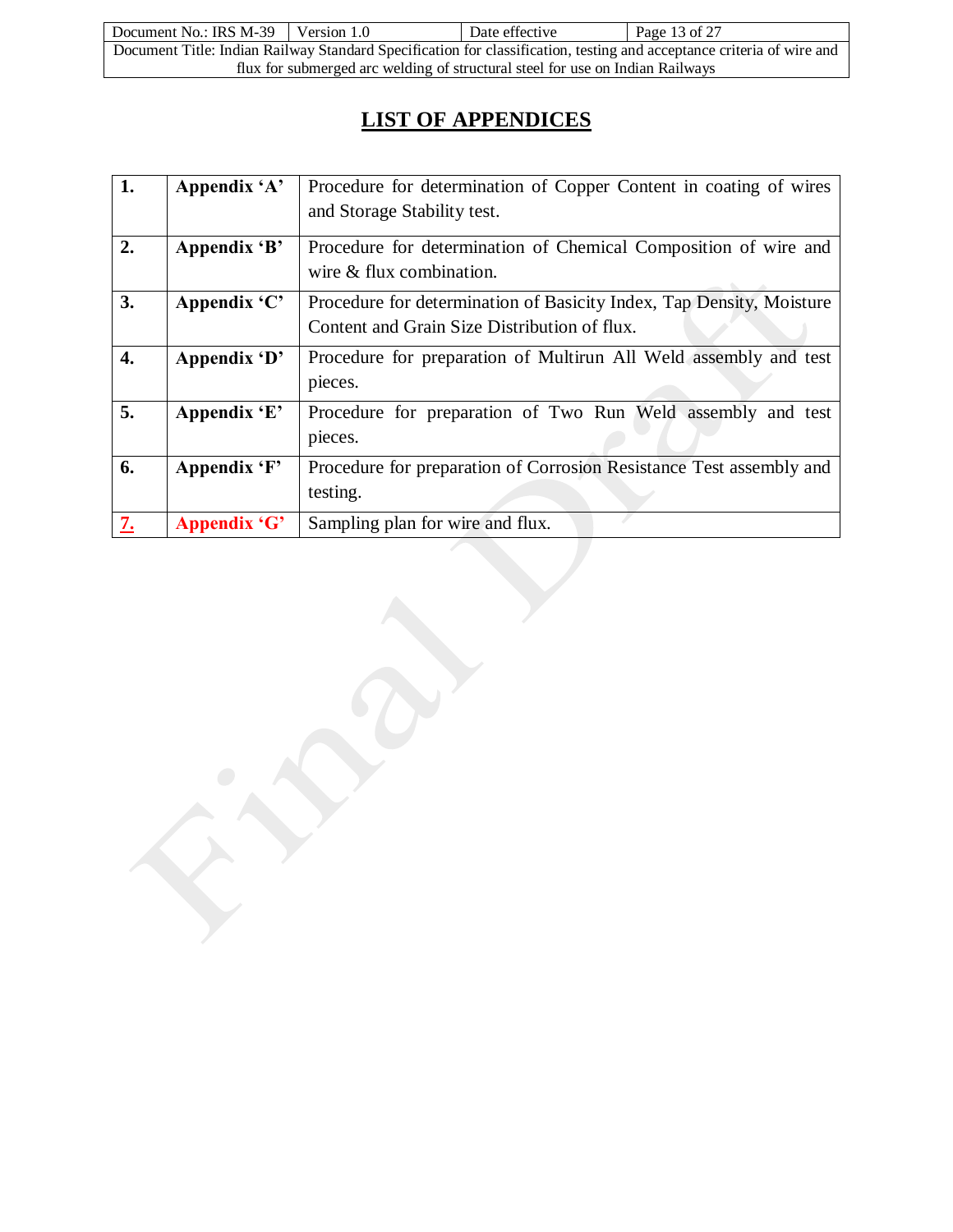| Document No.: IRS $M-39$   Version 1.0                                                                                |  | Date effective | Page 13 of 27 |  |
|-----------------------------------------------------------------------------------------------------------------------|--|----------------|---------------|--|
| Document Title: Indian Railway Standard Specification for classification, testing and acceptance criteria of wire and |  |                |               |  |
| flux for submerged arc welding of structural steel for use on Indian Railways                                         |  |                |               |  |

# **LIST OF APPENDICES**

| 1. | Appendix 'A' | Procedure for determination of Copper Content in coating of wires<br>and Storage Stability test.                     |
|----|--------------|----------------------------------------------------------------------------------------------------------------------|
| 2. | Appendix 'B' | Procedure for determination of Chemical Composition of wire and<br>wire & flux combination.                          |
| 3. | Appendix 'C' | Procedure for determination of Basicity Index, Tap Density, Moisture<br>Content and Grain Size Distribution of flux. |
| 4. | Appendix 'D' | Procedure for preparation of Multirun All Weld assembly and test<br>pieces.                                          |
| 5. | Appendix 'E' | Procedure for preparation of Two Run Weld assembly and test<br>pieces.                                               |
| 6. | Appendix 'F' | Procedure for preparation of Corrosion Resistance Test assembly and<br>testing.                                      |
| 7. | Appendix 'G' | Sampling plan for wire and flux.                                                                                     |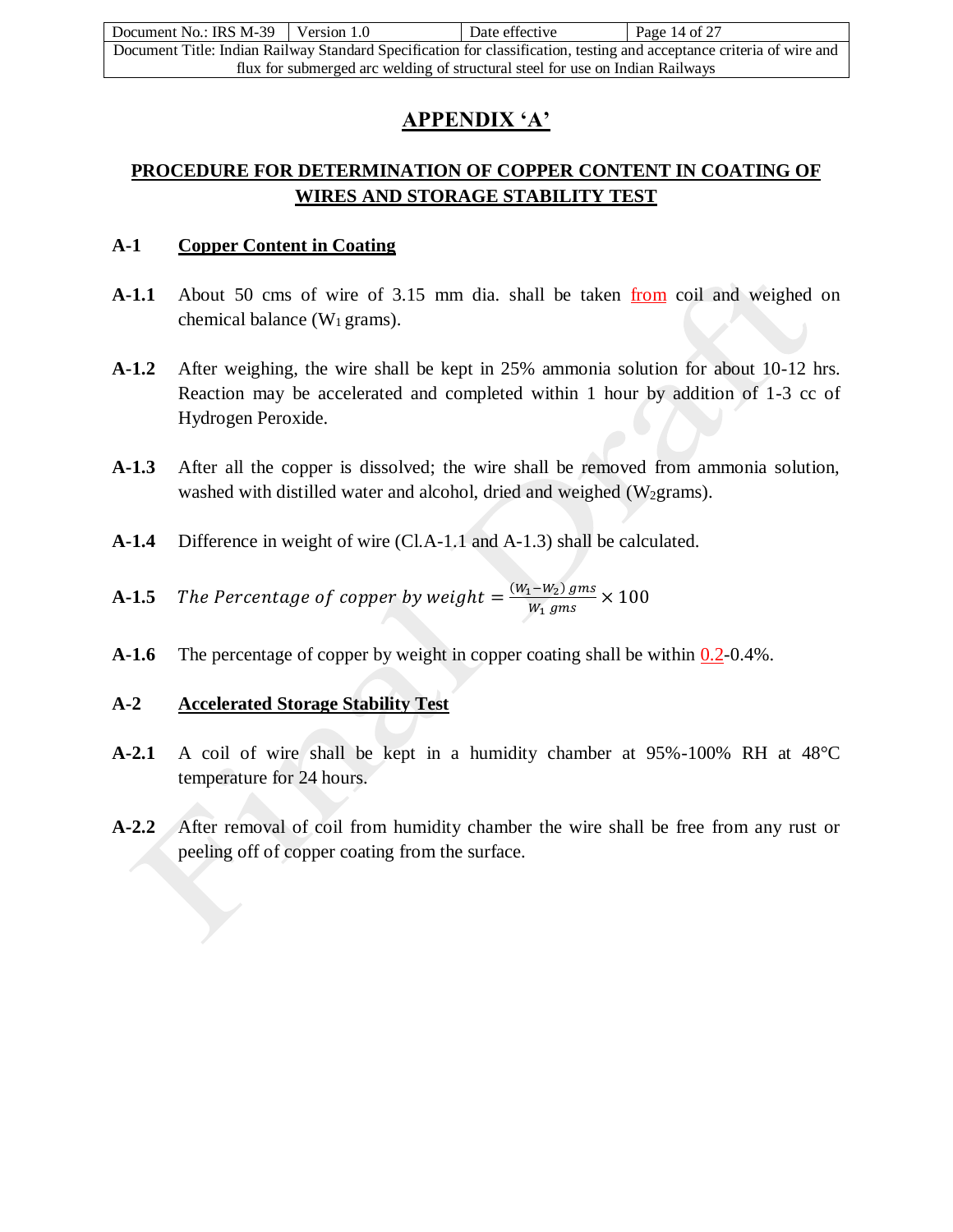| Document No.: IRS M-39 Version 1.0                                                                                    |  | Date effective | Page 14 of 27 |  |
|-----------------------------------------------------------------------------------------------------------------------|--|----------------|---------------|--|
| Document Title: Indian Railway Standard Specification for classification, testing and acceptance criteria of wire and |  |                |               |  |
| flux for submerged arc welding of structural steel for use on Indian Railways                                         |  |                |               |  |

## **APPENDIX 'A'**

## **PROCEDURE FOR DETERMINATION OF COPPER CONTENT IN COATING OF WIRES AND STORAGE STABILITY TEST**

## **A-1 Copper Content in Coating**

- **A-1.1** About 50 cms of wire of 3.15 mm dia. shall be taken from coil and weighed on chemical balance  $(W_1 \text{ grams})$ .
- **A-1.2** After weighing, the wire shall be kept in 25% ammonia solution for about 10-12 hrs. Reaction may be accelerated and completed within 1 hour by addition of 1-3 cc of Hydrogen Peroxide.
- **A-1.3** After all the copper is dissolved; the wire shall be removed from ammonia solution, washed with distilled water and alcohol, dried and weighed  $(W_2$ grams).
- **A-1.4** Difference in weight of wire (Cl.A-1.1 and A-1.3) shall be calculated.
- **A-1.5** The Percentage of copper by weight  $= \frac{(W_1-W_2) \text{ gms}}{W_1 \text{ gms}}$  $\frac{(1 - w_2) \text{ gms}}{w_1 \text{ gms}} \times 100$
- **A-1.6** The percentage of copper by weight in copper coating shall be within  $0.2$ -0.4%.

## **A-2 Accelerated Storage Stability Test**

- **A-2.1** A coil of wire shall be kept in a humidity chamber at 95%-100% RH at 48°C temperature for 24 hours.
- **A-2.2** After removal of coil from humidity chamber the wire shall be free from any rust or peeling off of copper coating from the surface.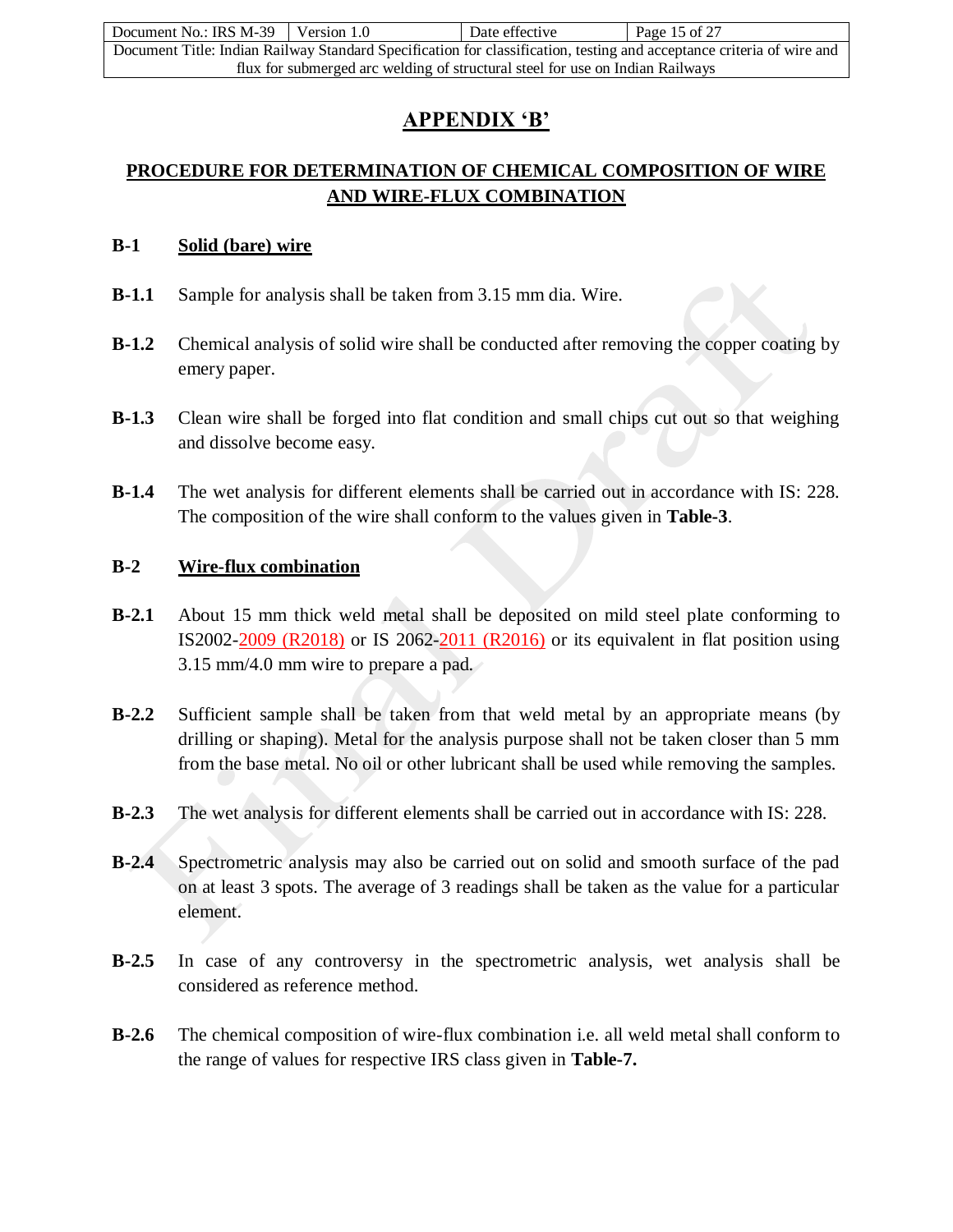| Document No.: IRS M-39 Version 1.0                                                                                    |  | Date effective | Page 15 of 27 |  |
|-----------------------------------------------------------------------------------------------------------------------|--|----------------|---------------|--|
| Document Title: Indian Railway Standard Specification for classification, testing and acceptance criteria of wire and |  |                |               |  |
| flux for submerged arc welding of structural steel for use on Indian Railways                                         |  |                |               |  |

## **APPENDIX 'B'**

## **PROCEDURE FOR DETERMINATION OF CHEMICAL COMPOSITION OF WIRE AND WIRE-FLUX COMBINATION**

#### **B-1 Solid (bare) wire**

- **B-1.1** Sample for analysis shall be taken from 3.15 mm dia. Wire.
- **B-1.2** Chemical analysis of solid wire shall be conducted after removing the copper coating by emery paper.
- **B-1.3** Clean wire shall be forged into flat condition and small chips cut out so that weighing and dissolve become easy.
- **B-1.4** The wet analysis for different elements shall be carried out in accordance with IS: 228. The composition of the wire shall conform to the values given in **Table-3**.

## **B-2 Wire-flux combination**

- **B-2.1** About 15 mm thick weld metal shall be deposited on mild steel plate conforming to IS2002-2009 (R2018) or IS 2062-2011 (R2016) or its equivalent in flat position using 3.15 mm/4.0 mm wire to prepare a pad.
- **B-2.2** Sufficient sample shall be taken from that weld metal by an appropriate means (by drilling or shaping). Metal for the analysis purpose shall not be taken closer than 5 mm from the base metal. No oil or other lubricant shall be used while removing the samples.
- **B-2.3** The wet analysis for different elements shall be carried out in accordance with IS: 228.
- **B-2.4** Spectrometric analysis may also be carried out on solid and smooth surface of the pad on at least 3 spots. The average of 3 readings shall be taken as the value for a particular element.
- **B-2.5** In case of any controversy in the spectrometric analysis, wet analysis shall be considered as reference method.
- **B-2.6** The chemical composition of wire-flux combination i.e. all weld metal shall conform to the range of values for respective IRS class given in **Table-7.**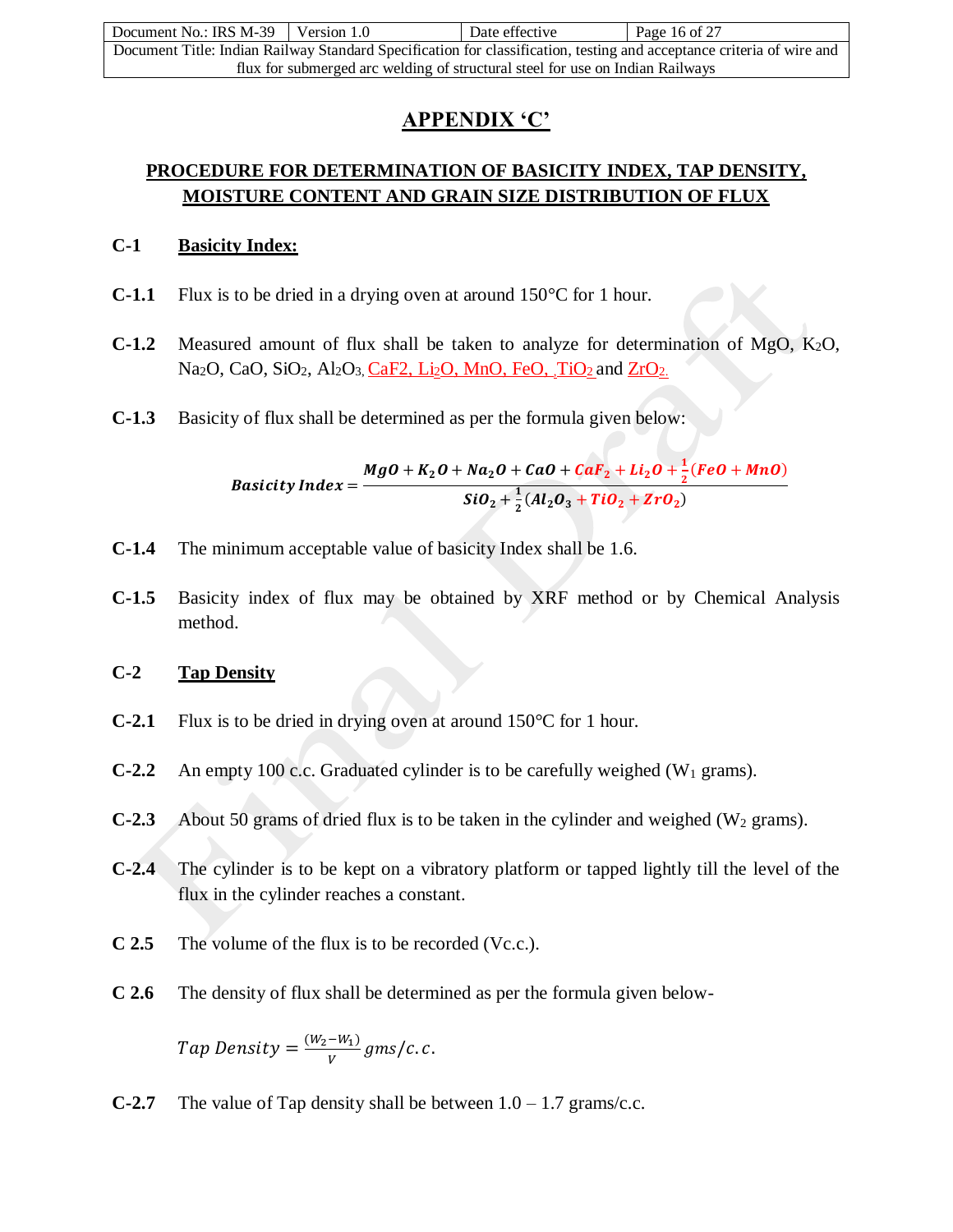| Document No.: IRS M-39                                                                                                | Version 1.0 | Date effective | Page 16 of 27 |  |
|-----------------------------------------------------------------------------------------------------------------------|-------------|----------------|---------------|--|
| Document Title: Indian Railway Standard Specification for classification, testing and acceptance criteria of wire and |             |                |               |  |
| flux for submerged arc welding of structural steel for use on Indian Railways                                         |             |                |               |  |

## **APPENDIX 'C'**

## **PROCEDURE FOR DETERMINATION OF BASICITY INDEX, TAP DENSITY, MOISTURE CONTENT AND GRAIN SIZE DISTRIBUTION OF FLUX**

### **C-1 Basicity Index:**

- **C-1.1** Flux is to be dried in a drying oven at around 150°C for 1 hour.
- **C-1.2** Measured amount of flux shall be taken to analyze for determination of MgO, K2O, Na<sub>2</sub>O, CaO, SiO<sub>2</sub>, Al<sub>2</sub>O<sub>3</sub>, CaF2, Li<sub>2</sub>O, MnO, FeO, TiO<sub>2</sub> and ZrO<sub>2.</sub>
- **C-1.3** Basicity of flux shall be determined as per the formula given below:

$$
Basicity Index = \frac{MgO + K_2O + Na_2O + CaO + CaF_2 + Li_2O + \frac{1}{2}(FeO + MnO)}{SiO_2 + \frac{1}{2}(Al_2O_3 + TiO_2 + ZrO_2)}
$$

- **C-1.4** The minimum acceptable value of basicity Index shall be 1.6.
- **C-1.5** Basicity index of flux may be obtained by XRF method or by Chemical Analysis method.

#### **C-2 Tap Density**

- **C-2.1** Flux is to be dried in drying oven at around 150°C for 1 hour.
- **C-2.2** An empty 100 c.c. Graduated cylinder is to be carefully weighed (W<sub>1</sub> grams).
- **C-2.3** About 50 grams of dried flux is to be taken in the cylinder and weighed ( $W_2$  grams).
- **C-2.4** The cylinder is to be kept on a vibratory platform or tapped lightly till the level of the flux in the cylinder reaches a constant.
- **C 2.5** The volume of the flux is to be recorded (Vc.c.).
- **C 2.6** The density of flux shall be determined as per the formula given below-

Tap Density =  $\frac{(W_2-W_1)}{W_1}$  $\frac{-w_1}{V}$  gms/c.c.

**C-2.7** The value of Tap density shall be between  $1.0 - 1.7$  grams/c.c.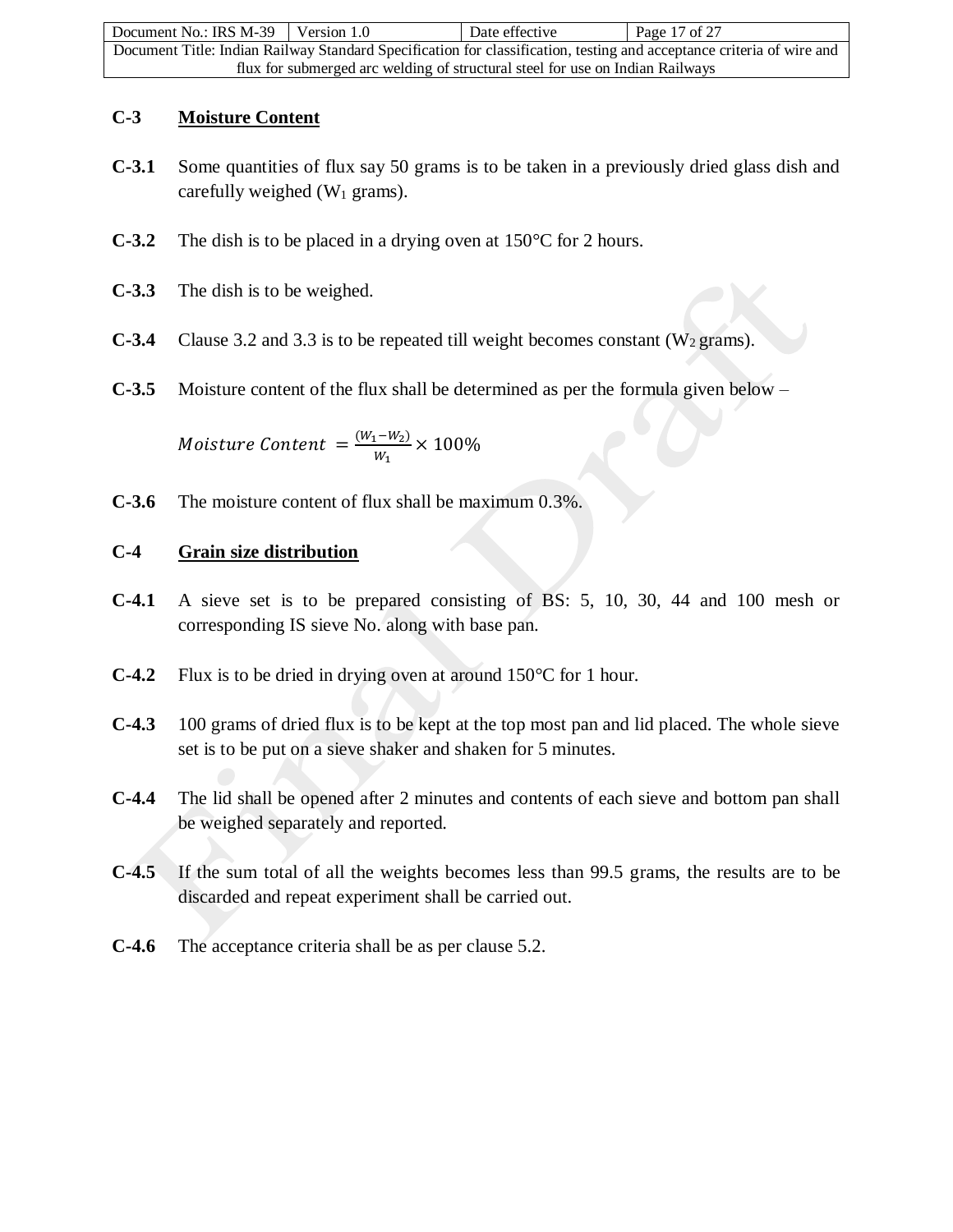| Document No.: IRS $M-39$ Version 1.0                                          |  | Date effective | Page 17 of 27                                                                                                         |
|-------------------------------------------------------------------------------|--|----------------|-----------------------------------------------------------------------------------------------------------------------|
|                                                                               |  |                | Document Title: Indian Railway Standard Specification for classification, testing and acceptance criteria of wire and |
| flux for submerged arc welding of structural steel for use on Indian Railways |  |                |                                                                                                                       |

## **C-3 Moisture Content**

- **C-3.1** Some quantities of flux say 50 grams is to be taken in a previously dried glass dish and carefully weighed  $(W_1$  grams).
- **C-3.2** The dish is to be placed in a drying oven at 150°C for 2 hours.
- **C-3.3** The dish is to be weighed.
- **C-3.4** Clause 3.2 and 3.3 is to be repeated till weight becomes constant ( $W_2$  grams).
- **C-3.5** Moisture content of the flux shall be determined as per the formula given below –

Moisture Content  $=\frac{(W_1-W_2)}{W_1}$  $\frac{(1 - w_2)}{w_1} \times 100\%$ 

**C-3.6** The moisture content of flux shall be maximum 0.3%.

## **C-4 Grain size distribution**

- **C-4.1** A sieve set is to be prepared consisting of BS: 5, 10, 30, 44 and 100 mesh or corresponding IS sieve No. along with base pan.
- **C-4.2** Flux is to be dried in drying oven at around 150°C for 1 hour.
- **C-4.3** 100 grams of dried flux is to be kept at the top most pan and lid placed. The whole sieve set is to be put on a sieve shaker and shaken for 5 minutes.
- **C-4.4** The lid shall be opened after 2 minutes and contents of each sieve and bottom pan shall be weighed separately and reported.
- **C-4.5** If the sum total of all the weights becomes less than 99.5 grams, the results are to be discarded and repeat experiment shall be carried out.
- **C-4.6** The acceptance criteria shall be as per clause 5.2.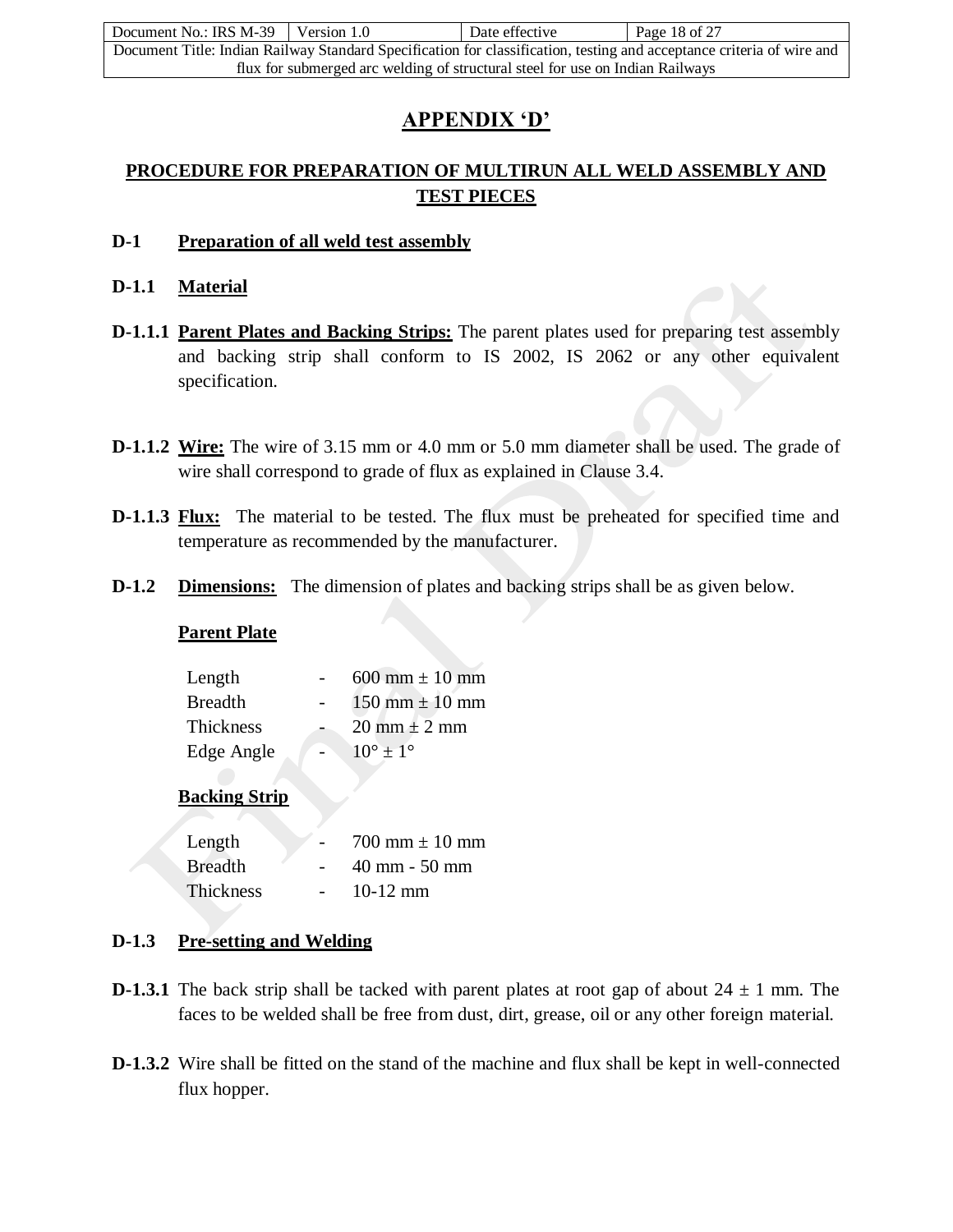| Document No.: IRS M-39 Version 1.0                                            |  | Date effective | Page 18 of 27                                                                                                         |
|-------------------------------------------------------------------------------|--|----------------|-----------------------------------------------------------------------------------------------------------------------|
|                                                                               |  |                | Document Title: Indian Railway Standard Specification for classification, testing and acceptance criteria of wire and |
| flux for submerged arc welding of structural steel for use on Indian Railways |  |                |                                                                                                                       |

## **APPENDIX 'D'**

## **PROCEDURE FOR PREPARATION OF MULTIRUN ALL WELD ASSEMBLY AND TEST PIECES**

#### **D-1 Preparation of all weld test assembly**

## **D-1.1 Material**

- **D-1.1.1 Parent Plates and Backing Strips:** The parent plates used for preparing test assembly and backing strip shall conform to IS 2002, IS 2062 or any other equivalent specification.
- **D-1.1.2 Wire:** The wire of 3.15 mm or 4.0 mm or 5.0 mm diameter shall be used. The grade of wire shall correspond to grade of flux as explained in Clause 3.4.
- **D-1.1.3** Flux: The material to be tested. The flux must be preheated for specified time and temperature as recommended by the manufacturer.
- **D-1.2 Dimensions:** The dimension of plates and backing strips shall be as given below.

#### **Parent Plate**

| Length           | 600 mm $\pm$ 10 mm                 |
|------------------|------------------------------------|
| <b>Breadth</b>   | $150 \text{ mm} \pm 10 \text{ mm}$ |
| <b>Thickness</b> | $20 \text{ mm} \pm 2 \text{ mm}$   |
| Edge Angle       | $10^{\circ} \pm 1^{\circ}$         |

## **Backing Strip**

| Length           | $700 \text{ mm} \pm 10 \text{ mm}$ |
|------------------|------------------------------------|
| <b>Breadth</b>   | $40 \text{ mm} - 50 \text{ mm}$    |
| <b>Thickness</b> | $10-12$ mm                         |

## **D-1.3 Pre-setting and Welding**

- **D-1.3.1** The back strip shall be tacked with parent plates at root gap of about  $24 \pm 1$  mm. The faces to be welded shall be free from dust, dirt, grease, oil or any other foreign material.
- **D-1.3.2** Wire shall be fitted on the stand of the machine and flux shall be kept in well-connected flux hopper.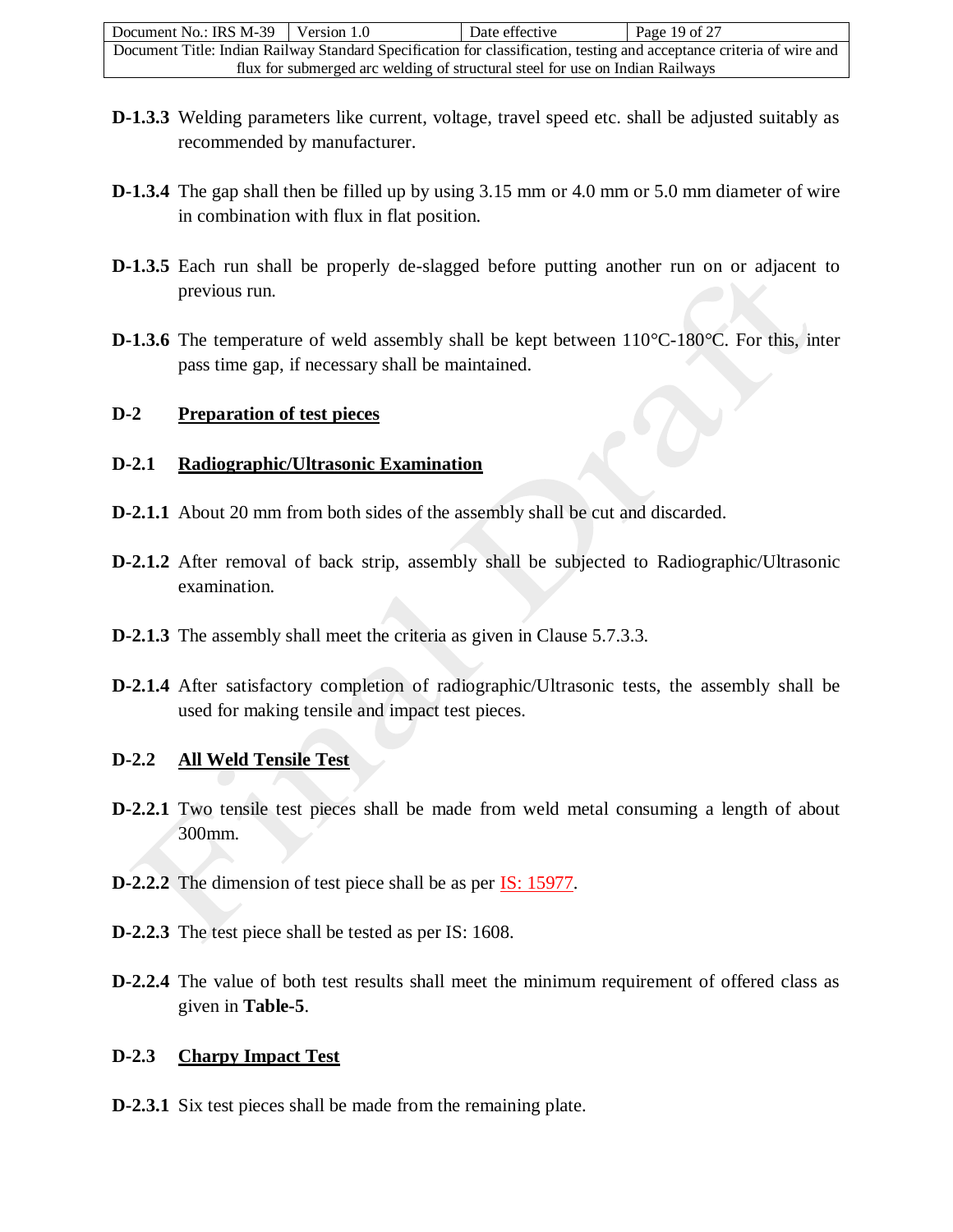| Document No.: IRS M-39                                                        | Version 1.0 | Date effective | Page 19 of $27$                                                                                                       |
|-------------------------------------------------------------------------------|-------------|----------------|-----------------------------------------------------------------------------------------------------------------------|
|                                                                               |             |                | Document Title: Indian Railway Standard Specification for classification, testing and acceptance criteria of wire and |
| flux for submerged arc welding of structural steel for use on Indian Railways |             |                |                                                                                                                       |

- **D-1.3.3** Welding parameters like current, voltage, travel speed etc. shall be adjusted suitably as recommended by manufacturer.
- **D-1.3.4** The gap shall then be filled up by using 3.15 mm or 4.0 mm or 5.0 mm diameter of wire in combination with flux in flat position.
- **D-1.3.5** Each run shall be properly de-slagged before putting another run on or adjacent to previous run.
- **D-1.3.6** The temperature of weld assembly shall be kept between 110°C-180°C. For this, inter pass time gap, if necessary shall be maintained.

### **D-2 Preparation of test pieces**

#### **D-2.1 Radiographic/Ultrasonic Examination**

- **D-2.1.1** About 20 mm from both sides of the assembly shall be cut and discarded.
- **D-2.1.2** After removal of back strip, assembly shall be subjected to Radiographic/Ultrasonic examination.
- **D-2.1.3** The assembly shall meet the criteria as given in Clause 5.7.3.3.
- **D-2.1.4** After satisfactory completion of radiographic/Ultrasonic tests, the assembly shall be used for making tensile and impact test pieces.

#### **D-2.2 All Weld Tensile Test**

- **D-2.2.1** Two tensile test pieces shall be made from weld metal consuming a length of about 300mm.
- **D-2.2.2** The dimension of test piece shall be as per IS: 15977.
- **D-2.2.3** The test piece shall be tested as per IS: 1608.
- **D-2.2.4** The value of both test results shall meet the minimum requirement of offered class as given in **Table-5**.

#### **D-2.3 Charpy Impact Test**

**D-2.3.1** Six test pieces shall be made from the remaining plate.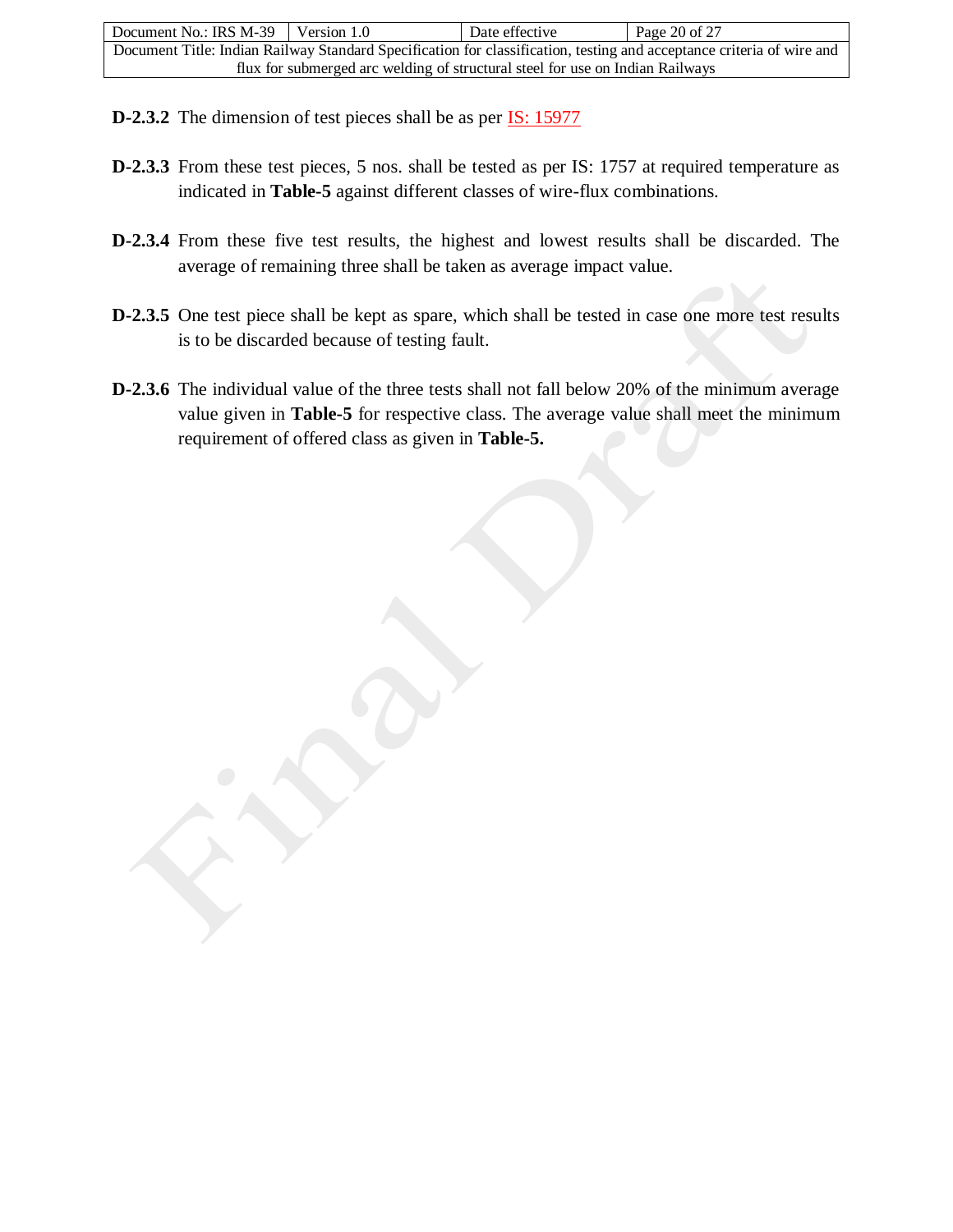| Document No.: IRS $M-39$ Version 1.0                                          |  | Date effective | Page 20 of $27$                                                                                                       |
|-------------------------------------------------------------------------------|--|----------------|-----------------------------------------------------------------------------------------------------------------------|
|                                                                               |  |                | Document Title: Indian Railway Standard Specification for classification, testing and acceptance criteria of wire and |
| flux for submerged arc welding of structural steel for use on Indian Railways |  |                |                                                                                                                       |

- **D-2.3.2** The dimension of test pieces shall be as per **IS**: 15977
- **D-2.3.3** From these test pieces, 5 nos. shall be tested as per IS: 1757 at required temperature as indicated in **Table-5** against different classes of wire-flux combinations.
- **D-2.3.4** From these five test results, the highest and lowest results shall be discarded. The average of remaining three shall be taken as average impact value.
- **D-2.3.5** One test piece shall be kept as spare, which shall be tested in case one more test results is to be discarded because of testing fault.
- **D-2.3.6** The individual value of the three tests shall not fall below 20% of the minimum average value given in **Table-5** for respective class. The average value shall meet the minimum requirement of offered class as given in **Table-5.**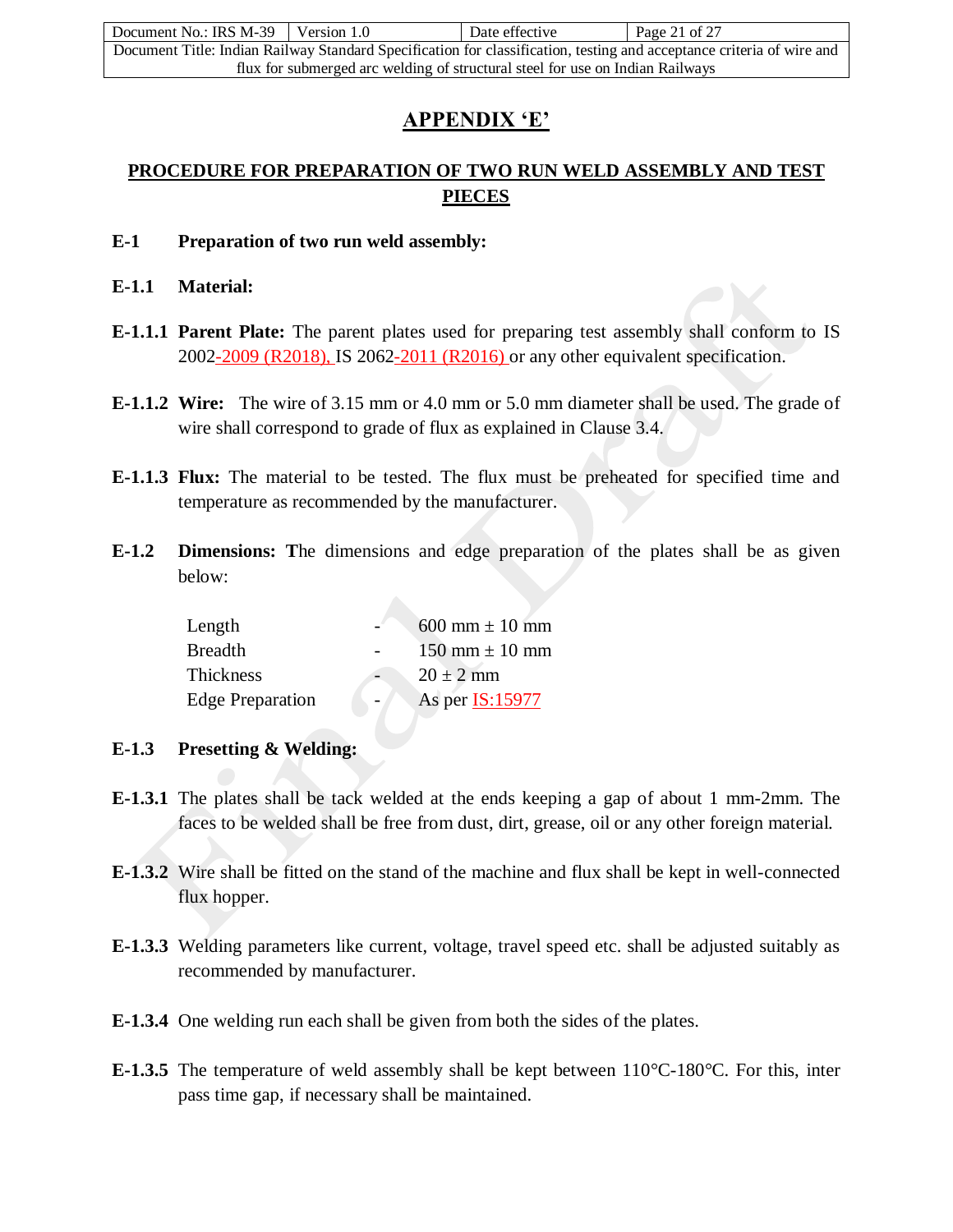| Document No.: IRS M-39 Version 1.0                                            |  | Date effective | Page 21 of 27                                                                                                         |
|-------------------------------------------------------------------------------|--|----------------|-----------------------------------------------------------------------------------------------------------------------|
|                                                                               |  |                | Document Title: Indian Railway Standard Specification for classification, testing and acceptance criteria of wire and |
| flux for submerged arc welding of structural steel for use on Indian Railways |  |                |                                                                                                                       |

## **APPENDIX 'E'**

## **PROCEDURE FOR PREPARATION OF TWO RUN WELD ASSEMBLY AND TEST PIECES**

- **E-1 Preparation of two run weld assembly:**
- **E-1.1 Material:**
- **E-1.1.1 Parent Plate:** The parent plates used for preparing test assembly shall conform to IS 2002-2009 (R2018), IS 2062-2011 (R2016) or any other equivalent specification.
- **E-1.1.2 Wire:** The wire of 3.15 mm or 4.0 mm or 5.0 mm diameter shall be used. The grade of wire shall correspond to grade of flux as explained in Clause 3.4.
- **E-1.1.3 Flux:** The material to be tested. The flux must be preheated for specified time and temperature as recommended by the manufacturer.
- **E-1.2 Dimensions: T**he dimensions and edge preparation of the plates shall be as given below:

| Length                  | $600 \text{ mm} \pm 10 \text{ mm}$ |
|-------------------------|------------------------------------|
| <b>Breadth</b>          | $150 \text{ mm} \pm 10 \text{ mm}$ |
| Thickness               | $20 \pm 2$ mm                      |
| <b>Edge Preparation</b> | As per <b>IS:15977</b>             |

- **E-1.3 Presetting & Welding:**
- **E-1.3.1** The plates shall be tack welded at the ends keeping a gap of about 1 mm-2mm. The faces to be welded shall be free from dust, dirt, grease, oil or any other foreign material.
- **E-1.3.2** Wire shall be fitted on the stand of the machine and flux shall be kept in well-connected flux hopper.
- **E-1.3.3** Welding parameters like current, voltage, travel speed etc. shall be adjusted suitably as recommended by manufacturer.
- **E-1.3.4** One welding run each shall be given from both the sides of the plates.
- **E-1.3.5** The temperature of weld assembly shall be kept between 110°C-180°C. For this, inter pass time gap, if necessary shall be maintained.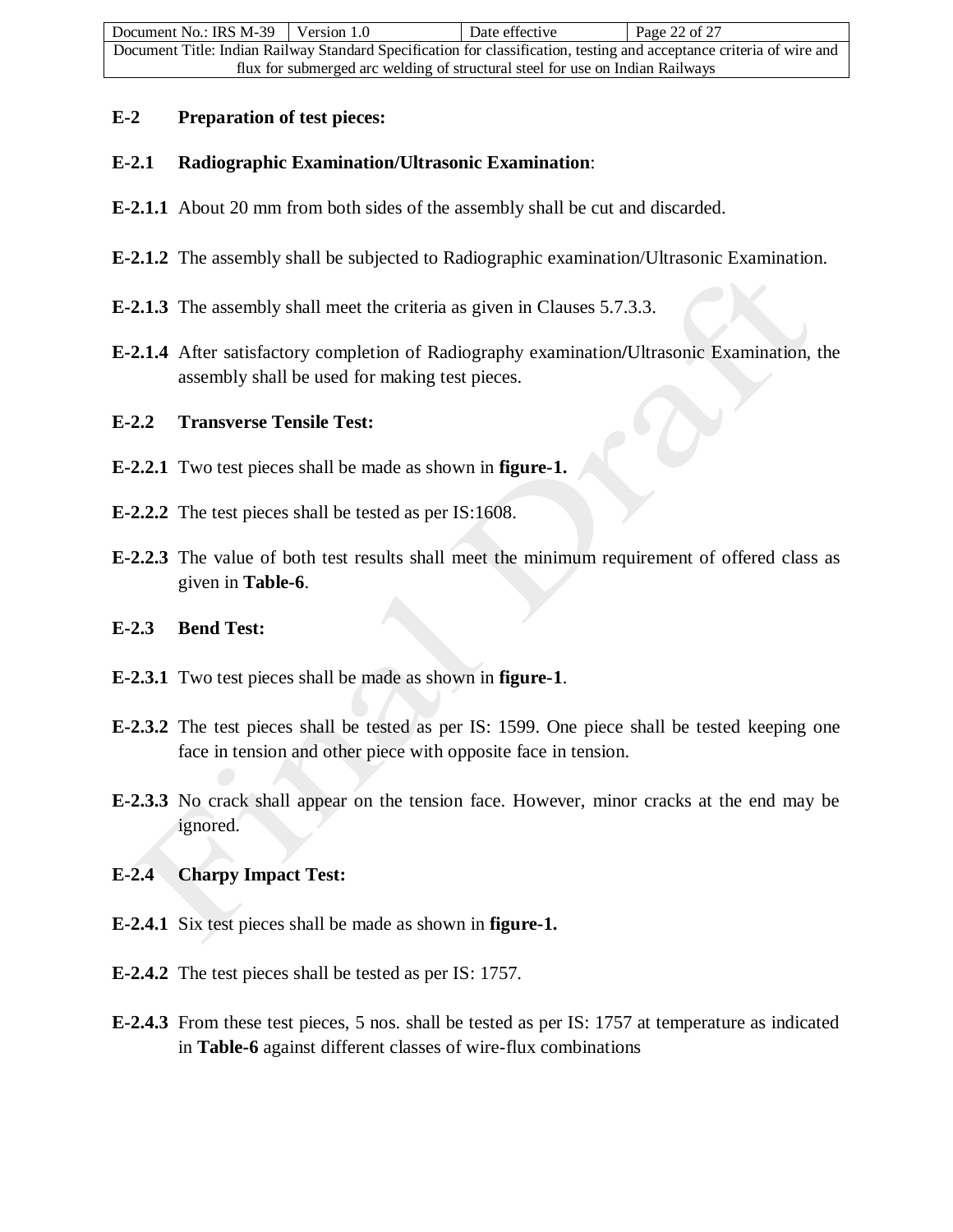| Document No.: IRS M-39                                                        | Version 1.0 | Date effective | Page 22 of 27                                                                                                         |
|-------------------------------------------------------------------------------|-------------|----------------|-----------------------------------------------------------------------------------------------------------------------|
|                                                                               |             |                | Document Title: Indian Railway Standard Specification for classification, testing and acceptance criteria of wire and |
| flux for submerged arc welding of structural steel for use on Indian Railways |             |                |                                                                                                                       |

### **E-2 Preparation of test pieces:**

## **E-2.1 Radiographic Examination/Ultrasonic Examination**:

- **E-2.1.1** About 20 mm from both sides of the assembly shall be cut and discarded.
- **E-2.1.2** The assembly shall be subjected to Radiographic examination/Ultrasonic Examination.
- **E-2.1.3** The assembly shall meet the criteria as given in Clauses 5.7.3.3.
- **E-2.1.4** After satisfactory completion of Radiography examination**/**Ultrasonic Examination, the assembly shall be used for making test pieces.

## **E-2.2 Transverse Tensile Test:**

- **E-2.2.1** Two test pieces shall be made as shown in **figure-1.**
- **E-2.2.2** The test pieces shall be tested as per IS:1608.
- **E-2.2.3** The value of both test results shall meet the minimum requirement of offered class as given in **Table-6**.

#### **E-2.3 Bend Test:**

- **E-2.3.1** Two test pieces shall be made as shown in **figure-1**.
- **E-2.3.2** The test pieces shall be tested as per IS: 1599. One piece shall be tested keeping one face in tension and other piece with opposite face in tension.
- **E-2.3.3** No crack shall appear on the tension face. However, minor cracks at the end may be ignored.

## **E-2.4 Charpy Impact Test:**

- **E-2.4.1** Six test pieces shall be made as shown in **figure-1.**
- **E-2.4.2** The test pieces shall be tested as per IS: 1757.
- **E-2.4.3** From these test pieces, 5 nos. shall be tested as per IS: 1757 at temperature as indicated in **Table-6** against different classes of wire-flux combinations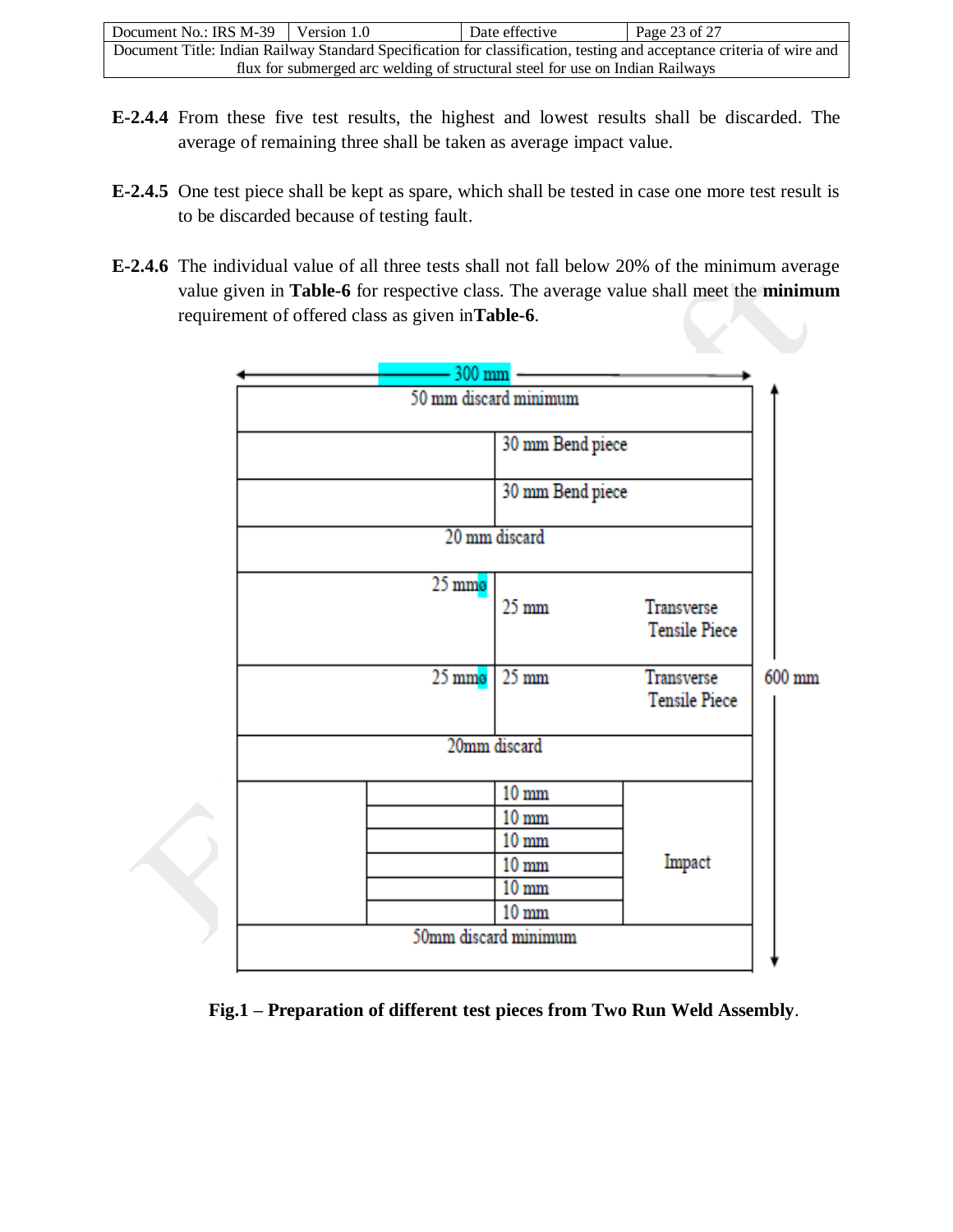| Document No.: IRS $M-39$   Version 1.0                                        |  | Date effective | Page 23 of $27$                                                                                                       |
|-------------------------------------------------------------------------------|--|----------------|-----------------------------------------------------------------------------------------------------------------------|
|                                                                               |  |                | Document Title: Indian Railway Standard Specification for classification, testing and acceptance criteria of wire and |
| flux for submerged arc welding of structural steel for use on Indian Railways |  |                |                                                                                                                       |

- **E-2.4.4** From these five test results, the highest and lowest results shall be discarded. The average of remaining three shall be taken as average impact value.
- **E-2.4.5** One test piece shall be kept as spare, which shall be tested in case one more test result is to be discarded because of testing fault.
- **E-2.4.6** The individual value of all three tests shall not fall below 20% of the minimum average value given in **Table-6** for respective class. The average value shall meet the **minimum** requirement of offered class as given in**Table-6**.



**Fig.1 – Preparation of different test pieces from Two Run Weld Assembly**.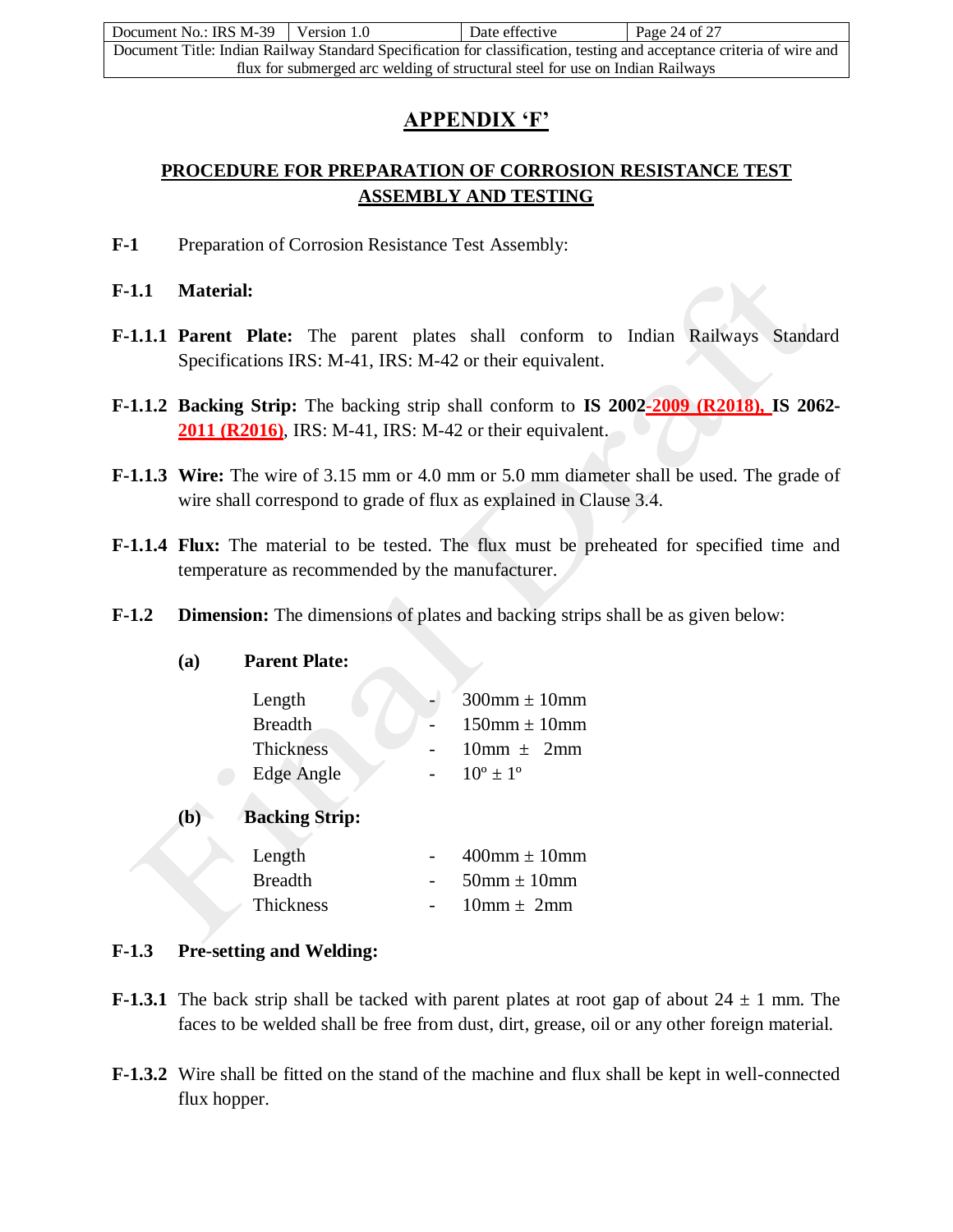| Document No.: IRS M-39                                                        | Version 1.0 | Date effective | Page 24 of 27                                                                                                         |
|-------------------------------------------------------------------------------|-------------|----------------|-----------------------------------------------------------------------------------------------------------------------|
|                                                                               |             |                | Document Title: Indian Railway Standard Specification for classification, testing and acceptance criteria of wire and |
| flux for submerged arc welding of structural steel for use on Indian Railways |             |                |                                                                                                                       |

## **APPENDIX 'F'**

## **PROCEDURE FOR PREPARATION OF CORROSION RESISTANCE TEST ASSEMBLY AND TESTING**

F-1 Preparation of Corrosion Resistance Test Assembly:

**F-1.1 Material:**

- **F-1.1.1 Parent Plate:** The parent plates shall conform to Indian Railways Standard Specifications IRS: M-41, IRS: M-42 or their equivalent.
- **F-1.1.2 Backing Strip:** The backing strip shall conform to **IS 2002-2009 (R2018), IS 2062- 2011 (R2016)**, IRS: M-41, IRS: M-42 or their equivalent.
- **F-1.1.3 Wire:** The wire of 3.15 mm or 4.0 mm or 5.0 mm diameter shall be used. The grade of wire shall correspond to grade of flux as explained in Clause 3.4.
- **F-1.1.4 Flux:** The material to be tested. The flux must be preheated for specified time and temperature as recommended by the manufacturer.
- **F-1.2 Dimension:** The dimensions of plates and backing strips shall be as given below:
	- **(a) Parent Plate:**

| Length           | $300$ mm $\pm 10$ mm             |
|------------------|----------------------------------|
| <b>Breadth</b>   | $150 \text{mm} \pm 10 \text{mm}$ |
| <b>Thickness</b> | $10mm + 2mm$                     |
| Edge Angle       | $10^{\circ} + 1^{\circ}$         |

**(b) Backing Strip:**

| Length         | $400$ mm $\pm 10$ mm |
|----------------|----------------------|
| <b>Breadth</b> | $50$ mm + 10mm       |
| Thickness      | $10mm + 2mm$         |

- **F-1.3 Pre-setting and Welding:**
- **F-1.3.1** The back strip shall be tacked with parent plates at root gap of about  $24 \pm 1$  mm. The faces to be welded shall be free from dust, dirt, grease, oil or any other foreign material.
- **F-1.3.2** Wire shall be fitted on the stand of the machine and flux shall be kept in well-connected flux hopper.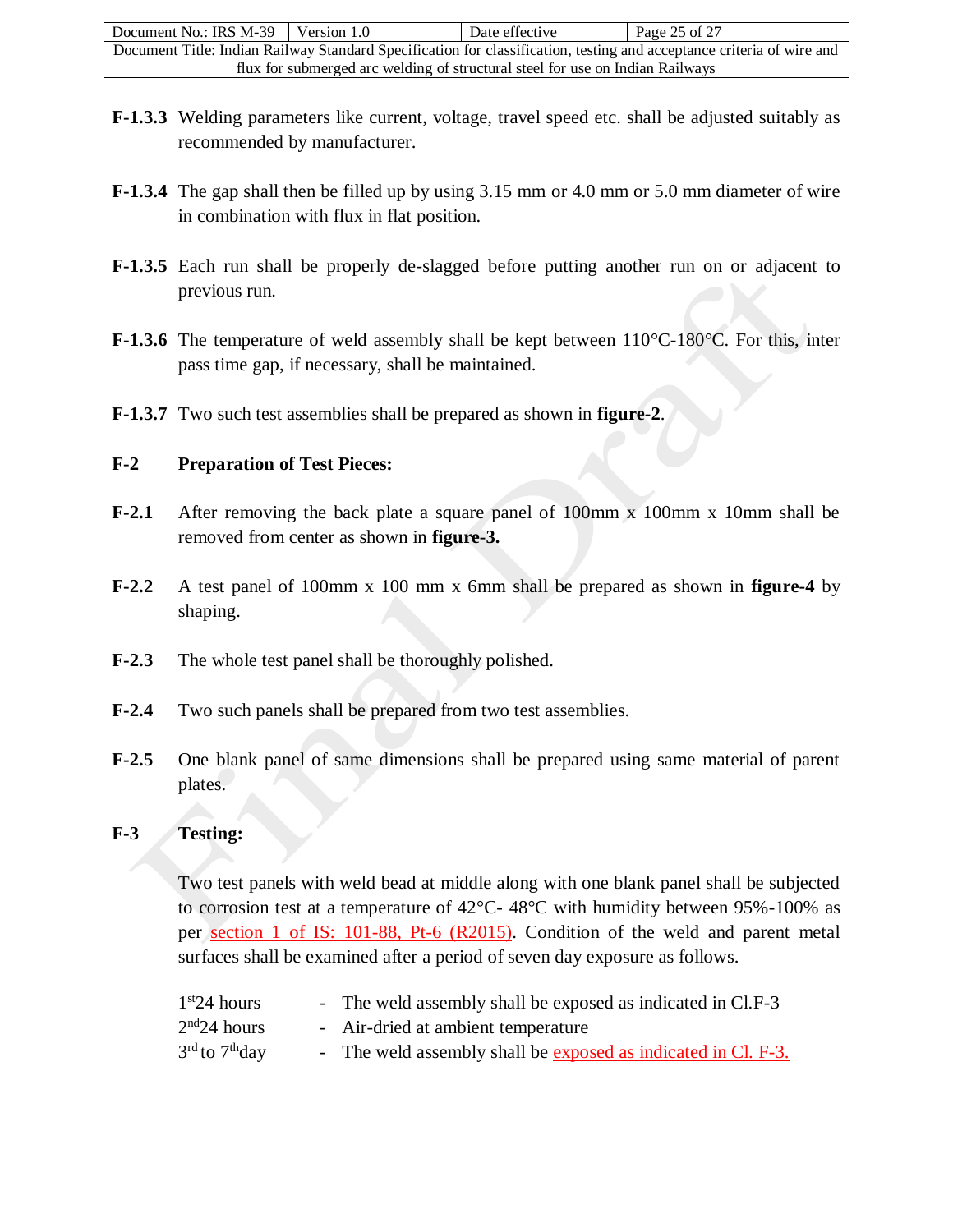| Document No.: IRS M-39                                                                                                | Version 1.0 | Date effective | Page 25 of 27 |
|-----------------------------------------------------------------------------------------------------------------------|-------------|----------------|---------------|
| Document Title: Indian Railway Standard Specification for classification, testing and acceptance criteria of wire and |             |                |               |
| flux for submerged arc welding of structural steel for use on Indian Railways                                         |             |                |               |

- **F-1.3.3** Welding parameters like current, voltage, travel speed etc. shall be adjusted suitably as recommended by manufacturer.
- **F-1.3.4** The gap shall then be filled up by using 3.15 mm or 4.0 mm or 5.0 mm diameter of wire in combination with flux in flat position.
- **F-1.3.5** Each run shall be properly de-slagged before putting another run on or adjacent to previous run.
- **F-1.3.6** The temperature of weld assembly shall be kept between 110°C-180°C. For this, inter pass time gap, if necessary, shall be maintained.
- **F-1.3.7** Two such test assemblies shall be prepared as shown in **figure-2**.

#### **F-2 Preparation of Test Pieces:**

- **F-2.1** After removing the back plate a square panel of 100mm x 100mm x 10mm shall be removed from center as shown in **figure-3.**
- **F-2.2** A test panel of 100mm x 100 mm x 6mm shall be prepared as shown in **figure-4** by shaping.
- **F-2.3** The whole test panel shall be thoroughly polished.
- **F-2.4** Two such panels shall be prepared from two test assemblies.
- **F-2.5** One blank panel of same dimensions shall be prepared using same material of parent plates.

#### **F-3 Testing:**

Two test panels with weld bead at middle along with one blank panel shall be subjected to corrosion test at a temperature of  $42^{\circ}$ C-  $48^{\circ}$ C with humidity between 95%-100% as per section 1 of IS: 101-88, Pt-6 (R2015). Condition of the weld and parent metal surfaces shall be examined after a period of seven day exposure as follows.

| 1 <sup>st</sup> 24 hours               | - The weld assembly shall be exposed as indicated in Cl.F-3   |
|----------------------------------------|---------------------------------------------------------------|
| 2 <sup>nd</sup> 24 hours               | - Air-dried at ambient temperature                            |
| 3 <sup>rd</sup> to 7 <sup>th</sup> day | - The weld assembly shall be exposed as indicated in Cl. F-3. |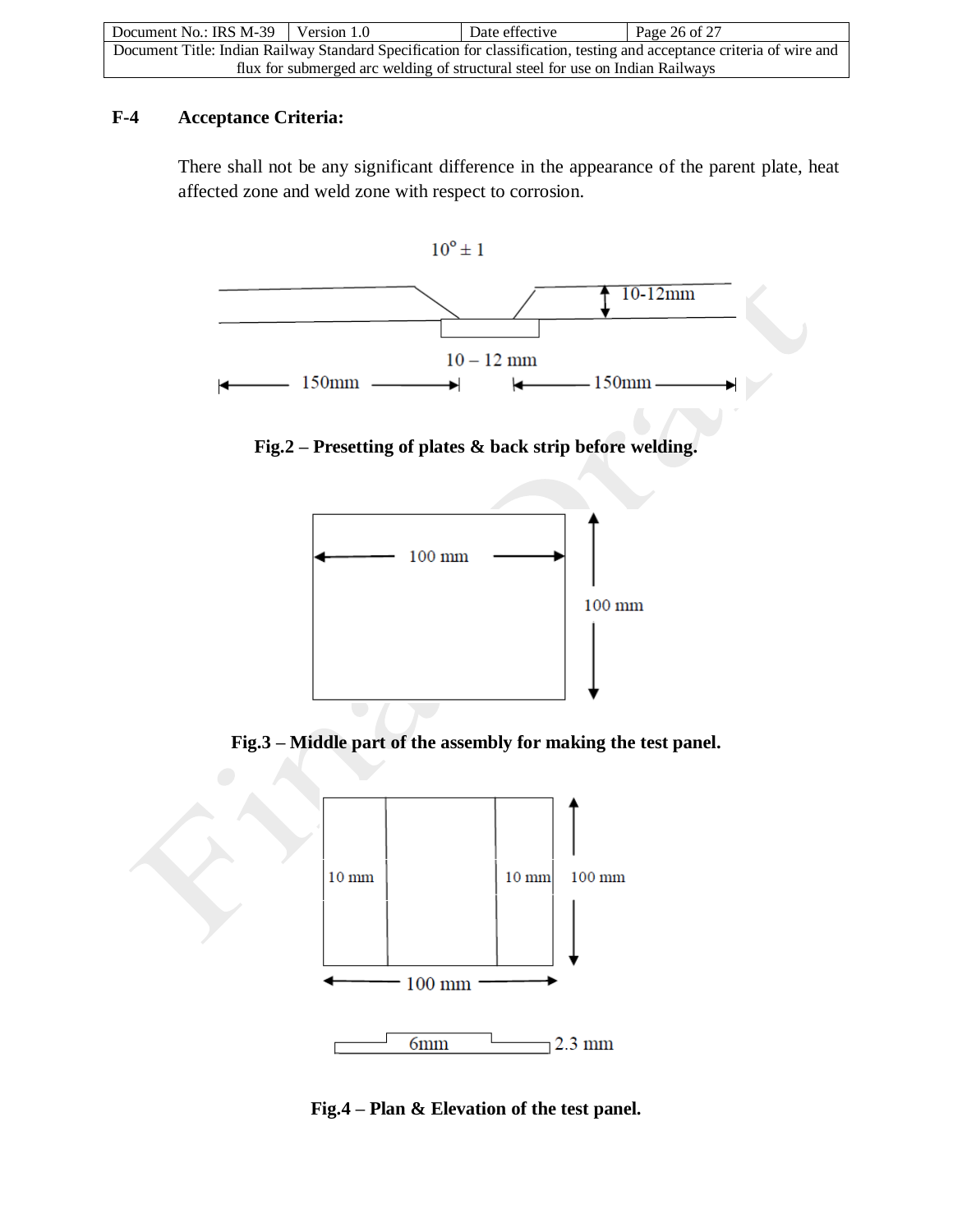| Document No.: IRS M-39                                                                                                | Version 1.0 | Date effective | Page 26 of 27 |
|-----------------------------------------------------------------------------------------------------------------------|-------------|----------------|---------------|
| Document Title: Indian Railway Standard Specification for classification, testing and acceptance criteria of wire and |             |                |               |
| flux for submerged arc welding of structural steel for use on Indian Railways                                         |             |                |               |

## **F-4 Acceptance Criteria:**

There shall not be any significant difference in the appearance of the parent plate, heat affected zone and weld zone with respect to corrosion.



**Fig.2 – Presetting of plates & back strip before welding.**



**Fig.3 – Middle part of the assembly for making the test panel.**



**Fig.4 – Plan & Elevation of the test panel.**